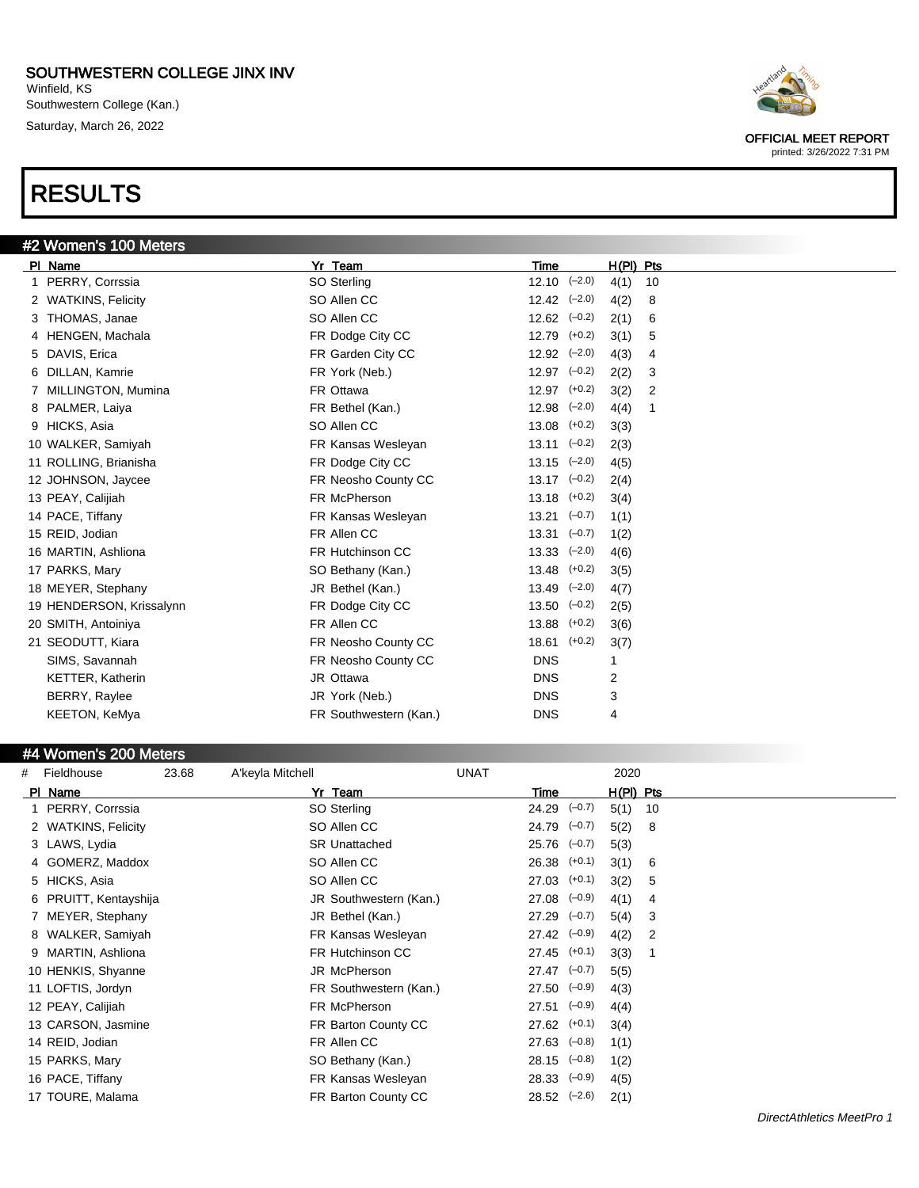Winfield, KS Southwestern College (Kan.) Saturday, March 26, 2022

# RESULTS



| 6. | DILLAN, Kamrie           | FR York (Neb.)          | $12.97$ $(-0.2)$            |          | 2(2) | 3 |
|----|--------------------------|-------------------------|-----------------------------|----------|------|---|
| 7  | MILLINGTON, Mumina       | FR Ottawa               | $12.97$ $(+0.2)$            |          | 3(2) | 2 |
|    | 8 PALMER, Laiya          | FR Bethel (Kan.)        | $12.98$ $(-2.0)$            |          | 4(4) | 1 |
| 9  | HICKS, Asia              | SO Allen CC             | 13.08                       | $(+0.2)$ | 3(3) |   |
|    | 10 WALKER, Samiyah       | FR Kansas Wesleyan      | $13.11$ $(-0.2)$            |          | 2(3) |   |
|    | 11 ROLLING, Brianisha    | FR Dodge City CC        | $13.15$ $(-2.0)$            |          | 4(5) |   |
|    | 12 JOHNSON, Jaycee       | FR Neosho County CC     | $13.17$ $(-0.2)$            |          | 2(4) |   |
|    | 13 PEAY, Calijiah        | FR McPherson            | $13.18$ $(+0.2)$            |          | 3(4) |   |
|    | 14 PACE, Tiffany         | FR Kansas Wesleyan      | $13.21$ $(-0.7)$            |          | 1(1) |   |
|    | 15 REID, Jodian          | FR Allen CC             | $13.31 \left( -0.7 \right)$ |          | 1(2) |   |
|    | 16 MARTIN, Ashliona      | <b>FR Hutchinson CC</b> | $13.33 \quad (-2.0)$        |          | 4(6) |   |
|    | 17 PARKS, Mary           | SO Bethany (Kan.)       | 13.48                       | $(+0.2)$ | 3(5) |   |
|    | 18 MEYER, Stephany       | JR Bethel (Kan.)        | 13.49                       | $(-2.0)$ | 4(7) |   |
|    | 19 HENDERSON, Krissalynn | FR Dodge City CC        | 13.50                       | $(-0.2)$ | 2(5) |   |
|    | 20 SMITH, Antoiniya      | FR Allen CC             | 13.88                       | $(+0.2)$ | 3(6) |   |
|    | 21 SEODUTT, Kiara        | FR Neosho County CC     | 18.61                       | $(+0.2)$ | 3(7) |   |
|    | SIMS, Savannah           | FR Neosho County CC     | <b>DNS</b>                  |          | 1    |   |
|    | <b>KETTER, Katherin</b>  | JR Ottawa               | <b>DNS</b>                  |          | 2    |   |
|    | BERRY, Raylee            | JR York (Neb.)          | <b>DNS</b>                  |          | 3    |   |
|    | KEETON, KeMya            | FR Southwestern (Kan.)  | <b>DNS</b>                  |          | 4    |   |

#### #4 Women's 200 Meters

| # | Fieldhouse            | 23.68 | A'keyla Mitchell |                        | <b>UNAT</b>      |          | 2020      |    |
|---|-----------------------|-------|------------------|------------------------|------------------|----------|-----------|----|
|   | PI Name               |       |                  | Yr Team                | Time             |          | H(PI) Pts |    |
|   | 1 PERRY, Corrssia     |       |                  | SO Sterling            | 24.29            | $(-0.7)$ | 5(1)      | 10 |
|   | 2 WATKINS, Felicity   |       |                  | SO Allen CC            | $24.79$ $(-0.7)$ |          | 5(2)      | -8 |
|   | 3 LAWS, Lydia         |       |                  | <b>SR Unattached</b>   | $25.76$ $(-0.7)$ |          | 5(3)      |    |
|   | 4 GOMERZ, Maddox      |       |                  | SO Allen CC            | $26.38$ $(+0.1)$ |          | 3(1)      | 6  |
|   | 5 HICKS, Asia         |       |                  | SO Allen CC            | 27.03            | $(+0.1)$ | 3(2)      | 5  |
|   | 6 PRUITT, Kentayshija |       |                  | JR Southwestern (Kan.) | 27.08            | $(-0.9)$ | 4(1)      | 4  |
|   | 7 MEYER, Stephany     |       |                  | JR Bethel (Kan.)       | $27.29$ $(-0.7)$ |          | 5(4)      | 3  |
|   | 8 WALKER, Samiyah     |       |                  | FR Kansas Wesleyan     | $27.42$ $(-0.9)$ |          | 4(2)      | 2  |
|   | 9 MARTIN, Ashliona    |       |                  | FR Hutchinson CC       | $27.45$ (+0.1)   |          | 3(3)      |    |
|   | 10 HENKIS, Shyanne    |       |                  | JR McPherson           | $27.47$ $(-0.7)$ |          | 5(5)      |    |
|   | 11 LOFTIS, Jordyn     |       |                  | FR Southwestern (Kan.) | $27.50$ $(-0.9)$ |          | 4(3)      |    |
|   | 12 PEAY, Calijiah     |       |                  | FR McPherson           | $27.51$ $(-0.9)$ |          | 4(4)      |    |
|   | 13 CARSON, Jasmine    |       |                  | FR Barton County CC    | 27.62            | $(+0.1)$ | 3(4)      |    |
|   | 14 REID, Jodian       |       |                  | FR Allen CC            | 27.63            | $(-0.8)$ | 1(1)      |    |
|   | 15 PARKS, Mary        |       |                  | SO Bethany (Kan.)      | $28.15$ $(-0.8)$ |          | 1(2)      |    |
|   | 16 PACE, Tiffany      |       |                  | FR Kansas Wesleyan     | 28.33            | $(-0.9)$ | 4(5)      |    |
|   | 17 TOURE, Malama      |       |                  | FR Barton County CC    | $28.52$ $(-2.6)$ |          | 2(1)      |    |
|   |                       |       |                  |                        |                  |          |           |    |

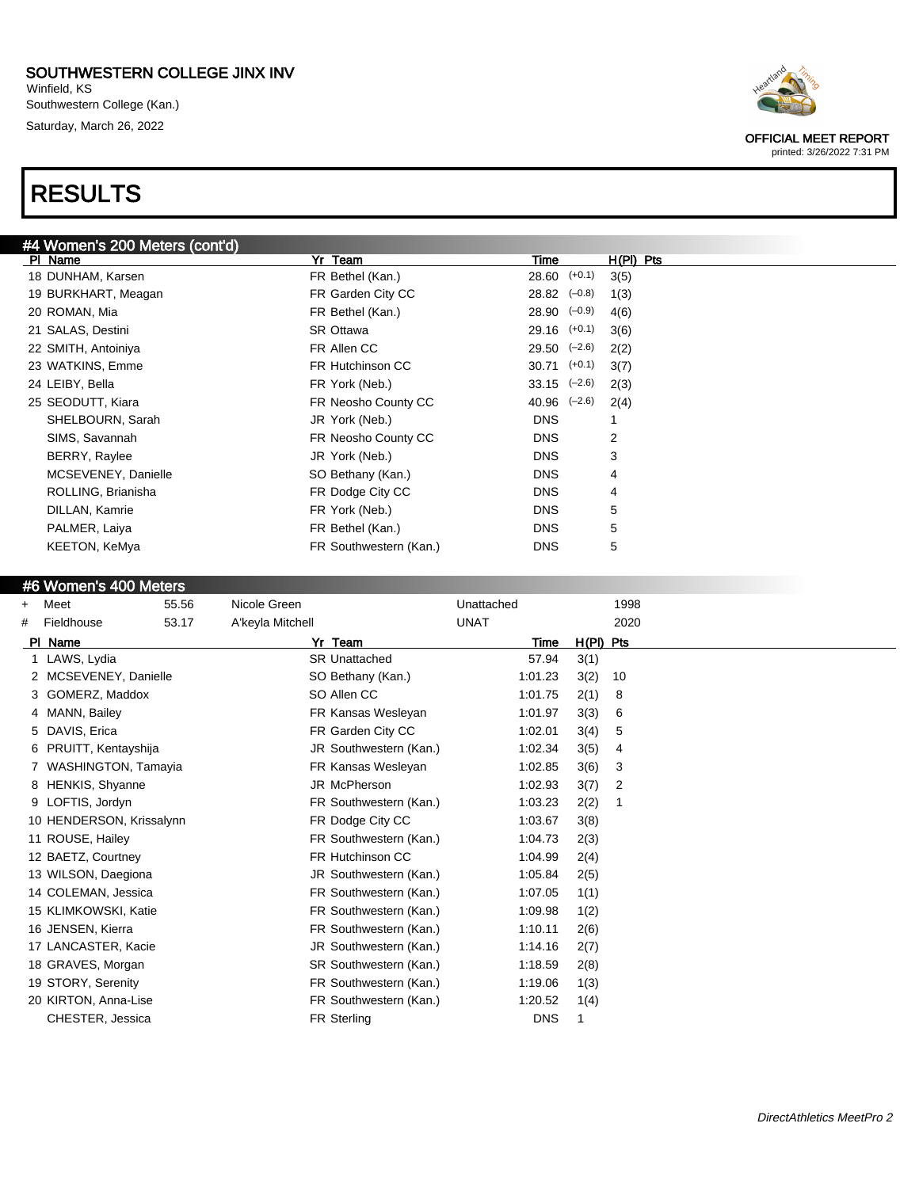Winfield, KS Southwestern College (Kan.) Saturday, March 26, 2022

# RESULTS



#### #6 Women's 400 Meters

| $\ddot{}$ | Meet                       | 55.56 | Nicole Green           | Unattached  |             | 1998           |
|-----------|----------------------------|-------|------------------------|-------------|-------------|----------------|
| #         | Fieldhouse                 | 53.17 | A'keyla Mitchell       | <b>UNAT</b> |             | 2020           |
| PI        | Name                       |       | Yr Team                | Time        | $H(PI)$ Pts |                |
|           | 1 LAWS, Lydia              |       | <b>SR Unattached</b>   | 57.94       | 3(1)        |                |
|           | MCSEVENEY, Danielle        |       | SO Bethany (Kan.)      | 1:01.23     | 3(2)        | 10             |
|           | 3 GOMERZ, Maddox           |       | SO Allen CC            | 1:01.75     | 2(1)        | 8              |
| 4         | MANN, Bailey               |       | FR Kansas Wesleyan     | 1:01.97     | 3(3)        | 6              |
| 5         | DAVIS, Erica               |       | FR Garden City CC      | 1:02.01     | 3(4)        | 5              |
| 6         | PRUITT, Kentayshija        |       | JR Southwestern (Kan.) | 1:02.34     | 3(5)        | 4              |
|           | <b>WASHINGTON, Tamayia</b> |       | FR Kansas Wesleyan     | 1:02.85     | 3(6)        | 3              |
| 8         | <b>HENKIS, Shyanne</b>     |       | JR McPherson           | 1:02.93     | 3(7)        | $\overline{2}$ |
| 9         | LOFTIS, Jordyn             |       | FR Southwestern (Kan.) | 1:03.23     | 2(2)        |                |
|           | 10 HENDERSON, Krissalynn   |       | FR Dodge City CC       | 1:03.67     | 3(8)        |                |
|           | 11 ROUSE, Hailey           |       | FR Southwestern (Kan.) | 1:04.73     | 2(3)        |                |
|           | 12 BAETZ, Courtney         |       | FR Hutchinson CC       | 1:04.99     | 2(4)        |                |
|           | 13 WILSON, Daegiona        |       | JR Southwestern (Kan.) | 1:05.84     | 2(5)        |                |
|           | 14 COLEMAN, Jessica        |       | FR Southwestern (Kan.) | 1:07.05     | 1(1)        |                |
|           | 15 KLIMKOWSKI, Katie       |       | FR Southwestern (Kan.) | 1:09.98     | 1(2)        |                |
|           | 16 JENSEN, Kierra          |       | FR Southwestern (Kan.) | 1:10.11     | 2(6)        |                |
|           | 17 LANCASTER, Kacie        |       | JR Southwestern (Kan.) | 1:14.16     | 2(7)        |                |
|           | 18 GRAVES, Morgan          |       | SR Southwestern (Kan.) | 1:18.59     | 2(8)        |                |
|           | 19 STORY, Serenity         |       | FR Southwestern (Kan.) | 1:19.06     | 1(3)        |                |
|           | 20 KIRTON, Anna-Lise       |       | FR Southwestern (Kan.) | 1:20.52     | 1(4)        |                |
|           | CHESTER, Jessica           |       | <b>FR Sterling</b>     | <b>DNS</b>  | 1           |                |



OFFICIAL MEET REPORT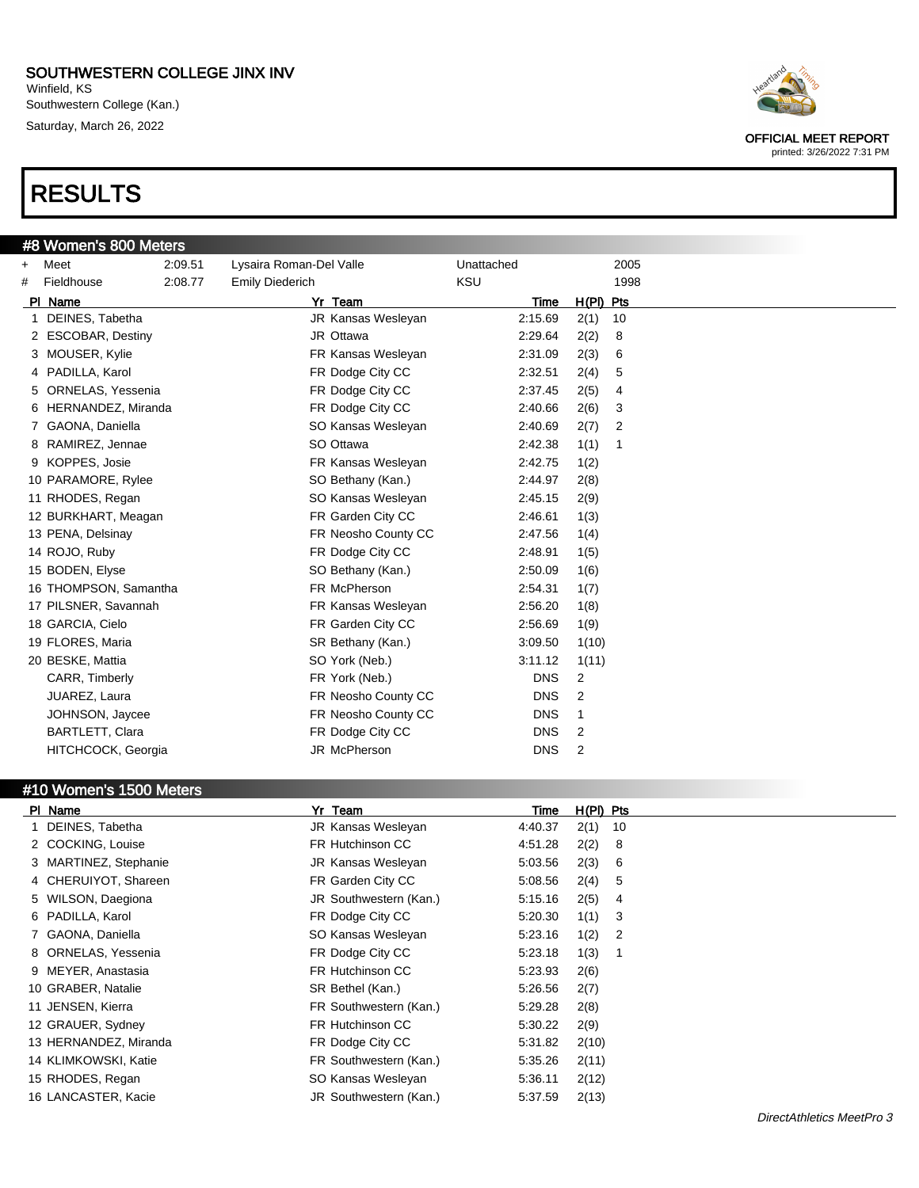Winfield, KS Southwestern College (Kan.) Saturday, March 26, 2022

# RESULTS

|  |  | #8 Women's 800 Meters |
|--|--|-----------------------|
|  |  |                       |

#10 Women's 1500 Meters



OFFICIAL MEET REPORT

printed: 3/26/2022 7:31 PM

|           | #8 women's 800 meters |         |                         |            |                |  |
|-----------|-----------------------|---------|-------------------------|------------|----------------|--|
| $\ddot{}$ | Meet                  | 2:09.51 | Lysaira Roman-Del Valle | Unattached | 2005           |  |
| #         | Fieldhouse            | 2:08.77 | <b>Emily Diederich</b>  | <b>KSU</b> | 1998           |  |
|           | PI Name               |         | Yr Team                 | Time       | $H(PI)$ Pts    |  |
| 1         | DEINES, Tabetha       |         | JR Kansas Wesleyan      | 2:15.69    | 2(1)<br>10     |  |
|           | 2 ESCOBAR, Destiny    |         | JR Ottawa               | 2:29.64    | 2(2)<br>8      |  |
|           | 3 MOUSER, Kylie       |         | FR Kansas Wesleyan      | 2:31.09    | 2(3)<br>6      |  |
|           | 4 PADILLA, Karol      |         | FR Dodge City CC        | 2:32.51    | 2(4)<br>5      |  |
|           | 5 ORNELAS, Yessenia   |         | FR Dodge City CC        | 2:37.45    | 2(5)<br>4      |  |
|           | 6 HERNANDEZ, Miranda  |         | FR Dodge City CC        | 2:40.66    | 2(6)<br>3      |  |
|           | GAONA, Daniella       |         | SO Kansas Wesleyan      | 2:40.69    | 2(7)<br>2      |  |
|           | RAMIREZ, Jennae       |         | SO Ottawa               | 2:42.38    | 1(1)<br>-1     |  |
|           | 9 KOPPES, Josie       |         | FR Kansas Wesleyan      | 2:42.75    | 1(2)           |  |
|           | 10 PARAMORE, Rylee    |         | SO Bethany (Kan.)       | 2:44.97    | 2(8)           |  |
|           | 11 RHODES, Regan      |         | SO Kansas Wesleyan      | 2:45.15    | 2(9)           |  |
|           | 12 BURKHART, Meagan   |         | FR Garden City CC       | 2:46.61    | 1(3)           |  |
|           | 13 PENA, Delsinay     |         | FR Neosho County CC     | 2:47.56    | 1(4)           |  |
|           | 14 ROJO, Ruby         |         | FR Dodge City CC        | 2:48.91    | 1(5)           |  |
|           | 15 BODEN, Elyse       |         | SO Bethany (Kan.)       | 2:50.09    | 1(6)           |  |
|           | 16 THOMPSON, Samantha |         | FR McPherson            | 2:54.31    | 1(7)           |  |
|           | 17 PILSNER, Savannah  |         | FR Kansas Wesleyan      | 2:56.20    | 1(8)           |  |
|           | 18 GARCIA, Cielo      |         | FR Garden City CC       | 2:56.69    | 1(9)           |  |
|           | 19 FLORES, Maria      |         | SR Bethany (Kan.)       | 3:09.50    | 1(10)          |  |
|           | 20 BESKE, Mattia      |         | SO York (Neb.)          | 3:11.12    | 1(11)          |  |
|           | CARR, Timberly        |         | FR York (Neb.)          | <b>DNS</b> | $\overline{2}$ |  |
|           | JUAREZ, Laura         |         | FR Neosho County CC     | <b>DNS</b> | 2              |  |
|           | JOHNSON, Jaycee       |         | FR Neosho County CC     | <b>DNS</b> | $\mathbf{1}$   |  |
|           | BARTLETT, Clara       |         | FR Dodge City CC        | <b>DNS</b> | $\overline{2}$ |  |
|           | HITCHCOCK, Georgia    |         | JR McPherson            | <b>DNS</b> | $\overline{2}$ |  |
|           |                       |         |                         |            |                |  |

#### Pl Name Yr Team Time H(Pl) Pts 1 DEINES, Tabetha JR Kansas Wesleyan 4:40.37 2(1) 10 2 COCKING, Louise FR Hutchinson CC 4:51.28 2(2) 8 3 MARTINEZ, Stephanie JR Kansas Wesleyan 5:03.56 2(3) 6 4 CHERUIYOT, Shareen FR Garden City CC 5:08.56 2(4) 5 5 WILSON, Daegiona JR Southwestern (Kan.) 5:15.16 2(5) 4 6 PADILLA, Karol FR Dodge City CC 5:20.30 1(1) 3 7 GAONA, Daniella **So Kansas Wesleyan** 5:23.16 1(2) 2 8 ORNELAS, Yessenia FR Dodge City CC 5:23.18 1(3) 1 9 MEYER, Anastasia **FR Hutchinson CC** 5:23.93 2(6) 10 GRABER, Natalie SR Bethel (Kan.) 5:26.56 2(7) 11 JENSEN, Kierra FR Southwestern (Kan.) 5:29.28 2(8) 12 GRAUER, Sydney FR Hutchinson CC 5:30.22 2(9) 13 HERNANDEZ, Miranda FR Dodge City CC 5:31.82 2(10) 14 KLIMKOWSKI, Katie FR Southwestern (Kan.) 5:35.26 2(11) 15 RHODES, Regan SO Kansas Wesleyan 5:36.11 2(12) 16 LANCASTER, Kacie JR Southwestern (Kan.) 5:37.59 2(13)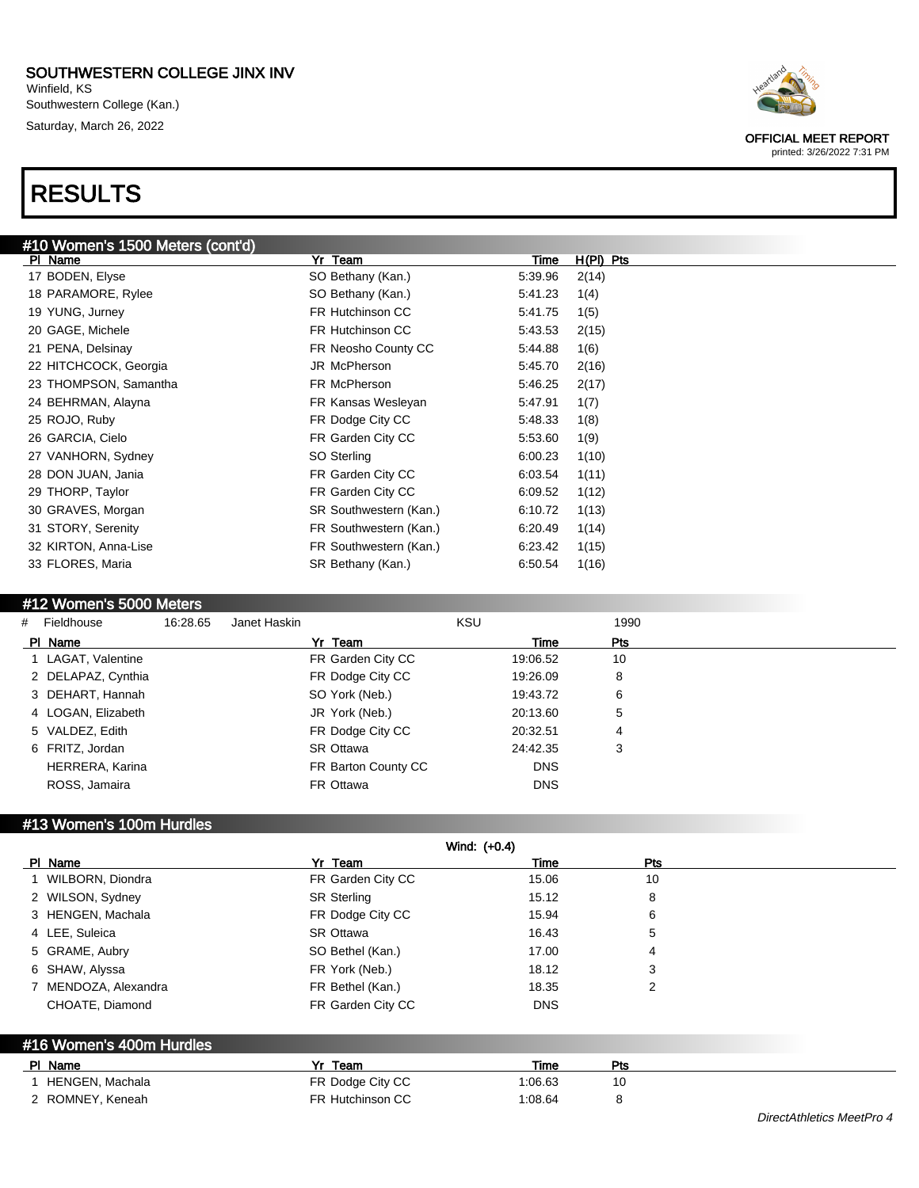Winfield, KS Southwestern College (Kan.) Saturday, March 26, 2022

# RESULTS



#### #12 Women's 5000 Meters

| # Fieldhouse       | 16:28.65 | Janet Haskin        | <b>KSU</b> | 1990 |  |
|--------------------|----------|---------------------|------------|------|--|
| PI Name            |          | Yr Team             | Time       | Pts  |  |
| 1 LAGAT, Valentine |          | FR Garden City CC   | 19:06.52   | 10   |  |
| 2 DELAPAZ, Cynthia |          | FR Dodge City CC    | 19:26.09   | 8    |  |
| 3 DEHART, Hannah   |          | SO York (Neb.)      | 19:43.72   | 6    |  |
| 4 LOGAN, Elizabeth |          | JR York (Neb.)      | 20:13.60   | 5    |  |
| 5 VALDEZ, Edith    |          | FR Dodge City CC    | 20:32.51   | 4    |  |
| 6 FRITZ, Jordan    |          | SR Ottawa           | 24:42.35   | 3    |  |
| HERRERA, Karina    |          | FR Barton County CC | <b>DNS</b> |      |  |
| ROSS, Jamaira      |          | FR Ottawa           | <b>DNS</b> |      |  |
|                    |          |                     |            |      |  |

#### #13 Women's 100m Hurdles

|                          |                    | Wind: (+0.4) |                |  |
|--------------------------|--------------------|--------------|----------------|--|
| PI Name                  | Yr Team            | Time         | <b>Pts</b>     |  |
| 1 WILBORN, Diondra       | FR Garden City CC  | 15.06        | 10             |  |
| 2 WILSON, Sydney         | <b>SR Sterling</b> | 15.12        | 8              |  |
| 3 HENGEN, Machala        | FR Dodge City CC   | 15.94        | 6              |  |
| 4 LEE, Suleica           | <b>SR Ottawa</b>   | 16.43        | 5              |  |
| 5 GRAME, Aubry           | SO Bethel (Kan.)   | 17.00        | 4              |  |
| 6 SHAW, Alyssa           | FR York (Neb.)     | 18.12        | 3              |  |
| 7 MENDOZA, Alexandra     | FR Bethel (Kan.)   | 18.35        | $\overline{2}$ |  |
| CHOATE, Diamond          | FR Garden City CC  | <b>DNS</b>   |                |  |
| #16 Women's 400m Hurdles |                    |              |                |  |
| PI Name                  | Yr Team            | Time         | Pts            |  |
| 1 HENGEN, Machala        | FR Dodge City CC   | 1:06.63      | 10             |  |
| 2 ROMNEY, Keneah         | FR Hutchinson CC   | 1:08.64      | 8              |  |

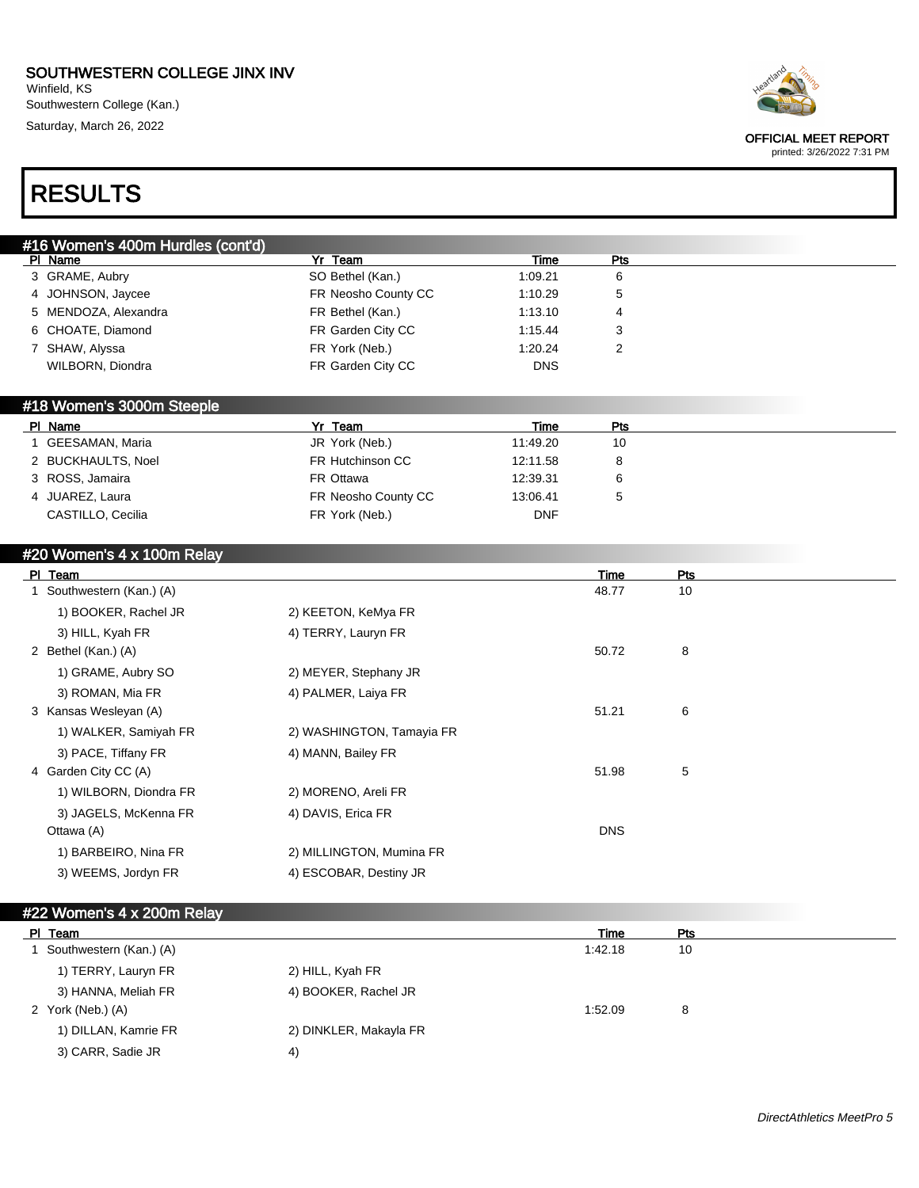Winfield, KS Southwestern College (Kan.) Saturday, March 26, 2022



#### OFFICIAL MEET REPORT

printed: 3/26/2022 7:31 PM

# RESULTS

| #16 Women's 400m Hurdles (cont'd) |                     |            |     |
|-----------------------------------|---------------------|------------|-----|
| PI Name                           | Yr Team             | Time       | Pts |
| 3 GRAME, Aubry                    | SO Bethel (Kan.)    | 1:09.21    | 6   |
| 4 JOHNSON, Jaycee                 | FR Neosho County CC | 1:10.29    | 5   |
| 5 MENDOZA, Alexandra              | FR Bethel (Kan.)    | 1:13.10    | 4   |
| 6 CHOATE, Diamond                 | FR Garden City CC   | 1:15.44    | د.  |
| 7 SHAW, Alyssa                    | FR York (Neb.)      | 1:20.24    |     |
| WILBORN, Diondra                  | FR Garden City CC   | <b>DNS</b> |     |

### #18 Women's 3000m Steeple

| PI Name            | Yr Team             | Time       | Pts |  |
|--------------------|---------------------|------------|-----|--|
| GEESAMAN, Maria    | JR York (Neb.)      | 11:49.20   | 10  |  |
| 2 BUCKHAULTS, Noel | FR Hutchinson CC    | 12:11.58   | 8   |  |
| 3 ROSS, Jamaira    | FR Ottawa           | 12:39.31   |     |  |
| 4 JUAREZ, Laura    | FR Neosho County CC | 13:06.41   |     |  |
| CASTILLO, Cecilia  | FR York (Neb.)      | <b>DNF</b> |     |  |

### #20 Women's 4 x 100m Relay

| <b>PI</b> | Team                    |                           | Time       | Pts |
|-----------|-------------------------|---------------------------|------------|-----|
|           | Southwestern (Kan.) (A) |                           | 48.77      | 10  |
|           | 1) BOOKER, Rachel JR    | 2) KEETON, KeMya FR       |            |     |
|           | 3) HILL, Kyah FR        | 4) TERRY, Lauryn FR       |            |     |
|           | 2 Bethel (Kan.) (A)     |                           | 50.72      | 8   |
|           | 1) GRAME, Aubry SO      | 2) MEYER, Stephany JR     |            |     |
|           | 3) ROMAN, Mia FR        | 4) PALMER, Laiya FR       |            |     |
|           | 3 Kansas Wesleyan (A)   |                           | 51.21      | 6   |
|           | 1) WALKER, Samiyah FR   | 2) WASHINGTON, Tamayia FR |            |     |
|           | 3) PACE, Tiffany FR     | 4) MANN, Bailey FR        |            |     |
|           | 4 Garden City CC (A)    |                           | 51.98      | 5   |
|           | 1) WILBORN, Diondra FR  | 2) MORENO, Areli FR       |            |     |
|           | 3) JAGELS, McKenna FR   | 4) DAVIS, Erica FR        |            |     |
|           | Ottawa (A)              |                           | <b>DNS</b> |     |
|           | 1) BARBEIRO, Nina FR    | 2) MILLINGTON, Mumina FR  |            |     |
|           | 3) WEEMS, Jordyn FR     | 4) ESCOBAR, Destiny JR    |            |     |
|           |                         |                           |            |     |

| #22 Women's 4 x 200m Relay |                        |         |     |  |
|----------------------------|------------------------|---------|-----|--|
| PI Team                    |                        | Time    | Pts |  |
| Southwestern (Kan.) (A)    |                        | 1:42.18 | 10  |  |
| 1) TERRY, Lauryn FR        | 2) HILL, Kyah FR       |         |     |  |
| 3) HANNA, Meliah FR        | 4) BOOKER, Rachel JR   |         |     |  |
| 2 York (Neb.) (A)          |                        | 1:52.09 | 8   |  |
| 1) DILLAN, Kamrie FR       | 2) DINKLER, Makayla FR |         |     |  |
| 3) CARR, Sadie JR          | $ 4\rangle$            |         |     |  |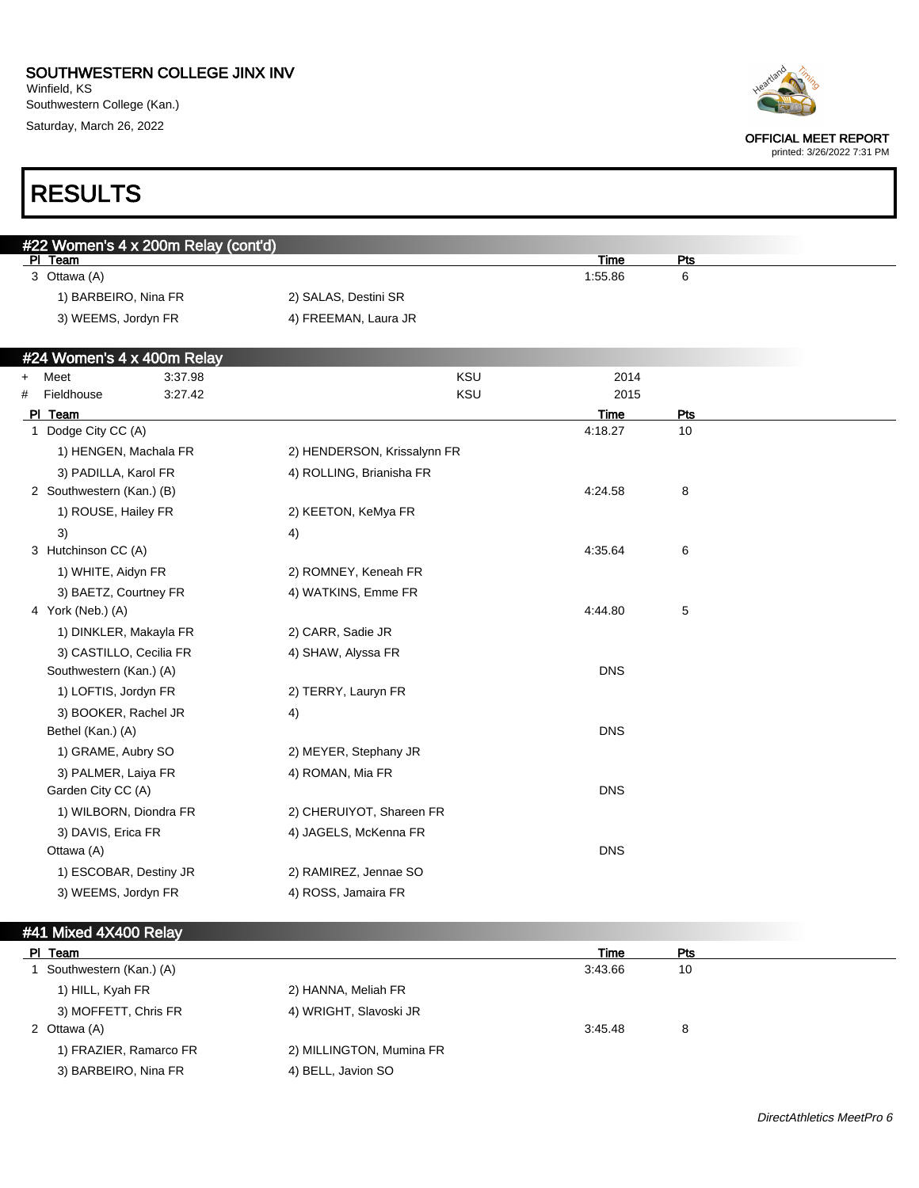Winfield, KS Southwestern College (Kan.) Saturday, March 26, 2022

RESULTS



OFFICIAL MEET REPORT

printed: 3/26/2022 7:31 PM

## #22 Women's 4 x 200m Relay (cont'd)<br>\_PL\_Team Pl Team Time Pts 3 Ottawa (A) 1:55.86 6 1) BARBEIRO, Nina FR 2) SALAS, Destini SR 3) WEEMS, Jordyn FR 4) FREEMAN, Laura JR #24 Women's 4 x 400m Relay + Meet 3:37.98 KSU 2014 # Fieldhouse 3:27.42 KSU 2015 Pl Team Time Pts 1 Dodge City CC (A) 2008 12:18.27 10 1) HENGEN, Machala FR 2) HENDERSON, Krissalynn FR 3) PADILLA, Karol FR 4) ROLLING, Brianisha FR 2 Southwestern (Kan.) (B) 4:24.58 8 1) ROUSE, Hailey FR 2) KEETON, KeMya FR  $3)$  4) 3 Hutchinson CC (A) 4:35.64 6 1) WHITE, Aidyn FR 2) ROMNEY, Keneah FR 3) BAETZ, Courtney FR 4) WATKINS, Emme FR 4:44.80 4:44.80 5 1) DINKLER, Makayla FR 2) CARR, Sadie JR 3) CASTILLO, Cecilia FR 4) SHAW, Alyssa FR Southwestern (Kan.) (A) DNS 1) LOFTIS, Jordyn FR 2) TERRY, Lauryn FR 3) BOOKER, Rachel JR 4) Bethel (Kan.) (A) DNS 1) GRAME, Aubry SO 2) MEYER, Stephany JR 3) PALMER, Laiya FR 4) ROMAN, Mia FR Garden City CC (A) DNS 1) WILBORN, Diondra FR 2) CHERUIYOT, Shareen FR 3) DAVIS, Erica FR 4) JAGELS, McKenna FR Ottawa (A) DNS 1) ESCOBAR, Destiny JR 2) RAMIREZ, Jennae SO

#### #41 Mixed 4X400 Relay

3) WEEMS, Jordyn FR 4) ROSS, Jamaira FR

| PI Team                 |                          | Time    | Pts |
|-------------------------|--------------------------|---------|-----|
| Southwestern (Kan.) (A) |                          | 3:43.66 | 10  |
| 1) HILL, Kyah FR        | 2) HANNA, Meliah FR      |         |     |
| 3) MOFFETT, Chris FR    | 4) WRIGHT, Slavoski JR   |         |     |
| 2 Ottawa (A)            |                          | 3:45.48 | 8   |
| 1) FRAZIER, Ramarco FR  | 2) MILLINGTON, Mumina FR |         |     |
| 3) BARBEIRO, Nina FR    | 4) BELL, Javion SO       |         |     |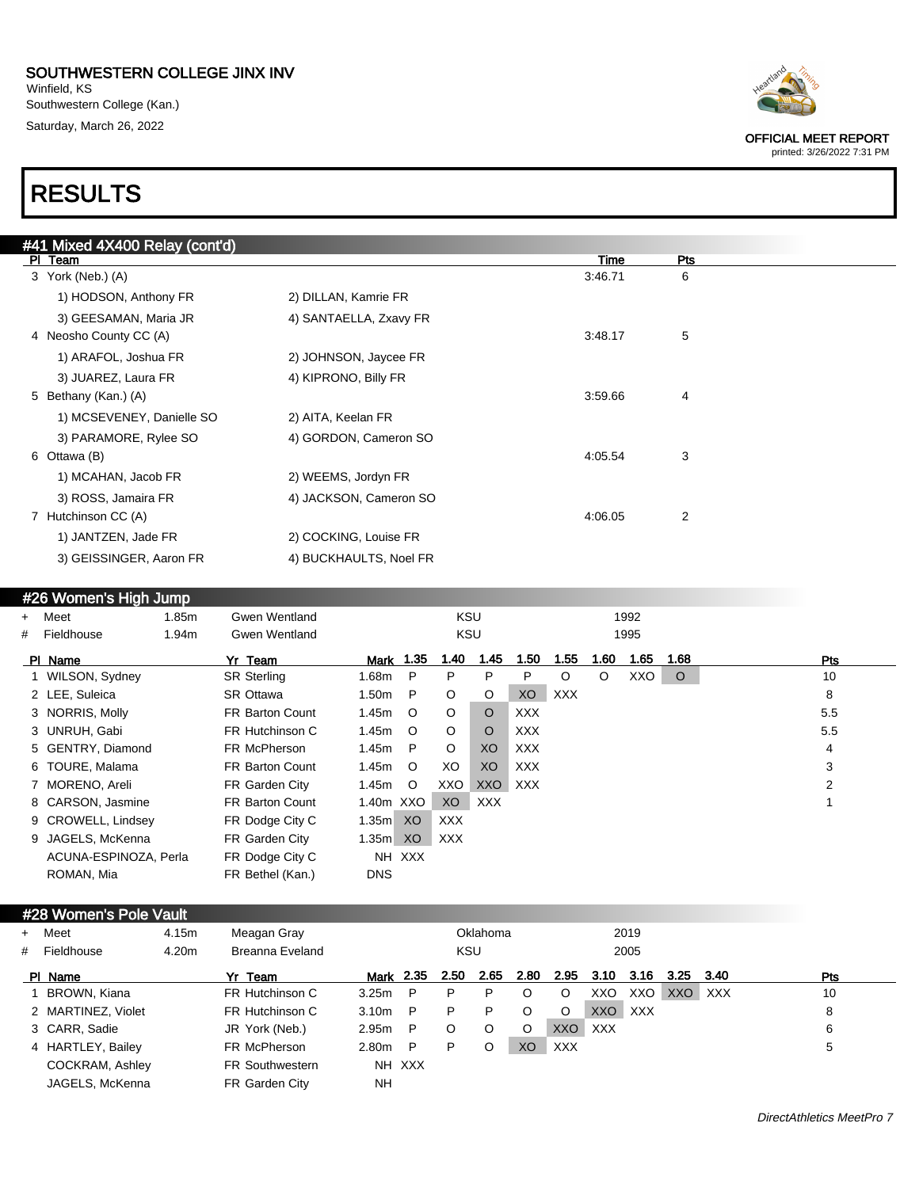Winfield, KS Southwestern College (Kan.) Saturday, March 26, 2022

# RESULTS

|                        | #41 Mixed 4X400 Relay (cont'd) |                        |         |            |
|------------------------|--------------------------------|------------------------|---------|------------|
| PI Team                |                                |                        | Time    | <b>Pts</b> |
| 3 York (Neb.) (A)      |                                |                        | 3:46.71 | 6          |
|                        | 1) HODSON, Anthony FR          | 2) DILLAN, Kamrie FR   |         |            |
|                        | 3) GEESAMAN, Maria JR          | 4) SANTAELLA, Zxavy FR |         |            |
| 4 Neosho County CC (A) |                                |                        | 3:48.17 | 5          |
|                        | 1) ARAFOL, Joshua FR           | 2) JOHNSON, Jaycee FR  |         |            |
|                        | 3) JUAREZ, Laura FR            | 4) KIPRONO, Billy FR   |         |            |
| 5 Bethany (Kan.) (A)   |                                |                        | 3:59.66 | 4          |
|                        | 1) MCSEVENEY, Danielle SO      | 2) AITA, Keelan FR     |         |            |
|                        | 3) PARAMORE, Rylee SO          | 4) GORDON, Cameron SO  |         |            |
| 6 Ottawa (B)           |                                |                        | 4:05.54 | 3          |
|                        | 1) MCAHAN, Jacob FR            | 2) WEEMS, Jordyn FR    |         |            |
|                        | 3) ROSS, Jamaira FR            | 4) JACKSON, Cameron SO |         |            |
| 7 Hutchinson CC (A)    |                                |                        | 4:06.05 | 2          |
|                        | 1) JANTZEN, Jade FR            | 2) COCKING, Louise FR  |         |            |
|                        | 3) GEISSINGER, Aaron FR        | 4) BUCKHAULTS, Noel FR |         |            |
|                        |                                |                        |         |            |

## #26 Women's High Jump

| + Meet                | 1.85m | Gwen Wentland          |                   |         | <b>KSU</b> |            |            |            |      | 1992 |         |     |  |
|-----------------------|-------|------------------------|-------------------|---------|------------|------------|------------|------------|------|------|---------|-----|--|
| # Fieldhouse          | 1.94m | Gwen Wentland          |                   |         | KSU        |            |            |            |      | 1995 |         |     |  |
| PI Name               |       | Yr Team                | <b>Mark</b> 1.35  |         | 1.40       | 1.45       | 1.50       | 1.55       | 1.60 | 1.65 | 1.68    | Pts |  |
| 1 WILSON, Sydney      |       | <b>SR Sterling</b>     | 1.68m             | -P      | P          | P          | P          | $\circ$    | O    | XXO  | $\circ$ | 10  |  |
| 2 LEE, Suleica        |       | SR Ottawa              | 1.50 <sub>m</sub> | P       | $\circ$    | O          | XO         | <b>XXX</b> |      |      |         | 8   |  |
| 3 NORRIS, Molly       |       | <b>FR Barton Count</b> | 1.45m             | $\circ$ | $\circ$    | $\circ$    | <b>XXX</b> |            |      |      |         | 5.5 |  |
| 3 UNRUH, Gabi         |       | FR Hutchinson C        | 1.45m             | $\circ$ | $\circ$    | $\circ$    | <b>XXX</b> |            |      |      |         | 5.5 |  |
| 5 GENTRY, Diamond     |       | FR McPherson           | 1.45m             | - P     | $\circ$    | XO         | <b>XXX</b> |            |      |      |         | 4   |  |
| 6 TOURE, Malama       |       | <b>FR Barton Count</b> | 1.45m             | $\circ$ | XO         | XO         | <b>XXX</b> |            |      |      |         | 3   |  |
| 7 MORENO, Areli       |       | FR Garden City         | 1.45m             | $\circ$ | XXO        | XXO        | <b>XXX</b> |            |      |      |         | 2   |  |
| 8 CARSON, Jasmine     |       | <b>FR Barton Count</b> | 1.40m XXO         |         | XO         | <b>XXX</b> |            |            |      |      |         |     |  |
| 9 CROWELL, Lindsey    |       | FR Dodge City C        | 1.35m XO          |         | <b>XXX</b> |            |            |            |      |      |         |     |  |
| 9 JAGELS, McKenna     |       | FR Garden City         | 1.35m             | XO      | XXX        |            |            |            |      |      |         |     |  |
| ACUNA-ESPINOZA, Perla |       | FR Dodge City C        |                   | NH XXX  |            |            |            |            |      |      |         |     |  |
| ROMAN, Mia            |       | FR Bethel (Kan.)       | <b>DNS</b>        |         |            |            |            |            |      |      |         |     |  |

#### #28 Women's Pole Vault

| $+$ | Meet               | 4.15m | Meagan Gray            |                   |        |            | Oklahoma |      |            |            | 2019    |      |            |     |
|-----|--------------------|-------|------------------------|-------------------|--------|------------|----------|------|------------|------------|---------|------|------------|-----|
| #   | Fieldhouse         | 4.20m | Breanna Eveland        |                   |        | <b>KSU</b> |          |      |            |            | 2005    |      |            |     |
|     | PI Name            |       | Yr Team                | Mark 2.35         |        | 2.50       | 2.65     | 2.80 | 2.95       | 3.10       | 3.16    | 3.25 | 3.40       | Pts |
|     | BROWN, Kiana       |       | FR Hutchinson C        | 3.25m             | P      | P          | P        | O    | O          | XXO        | XXO     | XXO  | <b>XXX</b> | 10  |
|     | 2 MARTINEZ, Violet |       | FR Hutchinson C        | 3.10 <sub>m</sub> | P      | P          | P        | O    | O          |            | XXO XXX |      |            | 8   |
|     | 3 CARR, Sadie      |       | JR York (Neb.)         | 2.95m             | P      | O          | $\circ$  | O    | XXO        | <b>XXX</b> |         |      |            | 6   |
|     | 4 HARTLEY, Bailey  |       | FR McPherson           | 2.80m             | P      | P          | O        | XO   | <b>XXX</b> |            |         |      |            | 5   |
|     | COCKRAM, Ashley    |       | <b>FR Southwestern</b> |                   | NH XXX |            |          |      |            |            |         |      |            |     |
|     | JAGELS, McKenna    |       | FR Garden City         | <b>NH</b>         |        |            |          |      |            |            |         |      |            |     |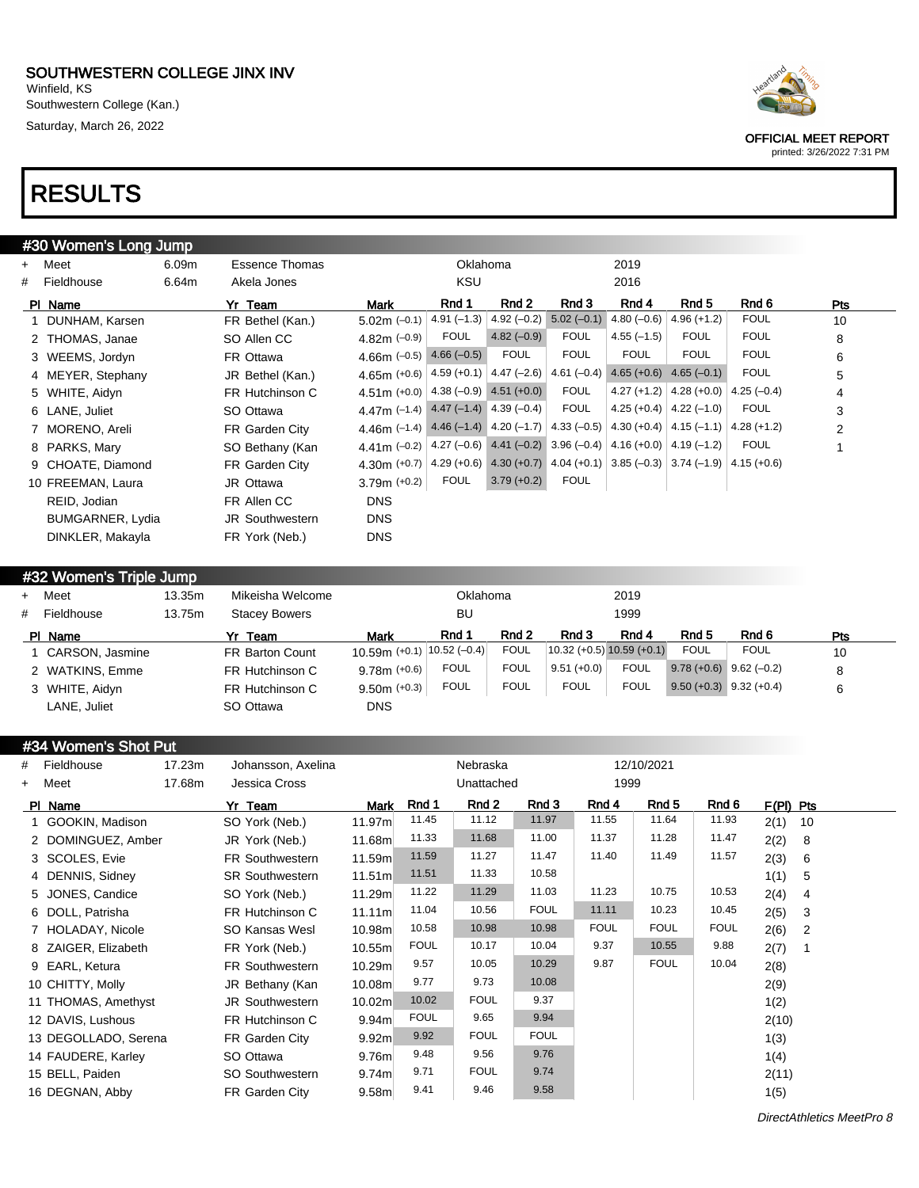Winfield, KS Southwestern College (Kan.) Saturday, March 26, 2022

# RESULTS

|     | #30 Women's Long Jump |       |                        |                                                          |              |                             |                                                                         |               |                               |              |                |
|-----|-----------------------|-------|------------------------|----------------------------------------------------------|--------------|-----------------------------|-------------------------------------------------------------------------|---------------|-------------------------------|--------------|----------------|
| $+$ | Meet                  | 6.09m | <b>Essence Thomas</b>  |                                                          | Oklahoma     |                             |                                                                         | 2019          |                               |              |                |
| #   | Fieldhouse            | 6.64m | Akela Jones            |                                                          | <b>KSU</b>   |                             |                                                                         | 2016          |                               |              |                |
|     | PI Name               |       | Yr Team                | Mark                                                     | Rnd 1        | Rnd 2                       | Rnd 3                                                                   | Rnd 4         | Rnd 5                         | Rnd 6        | Pts            |
|     | 1 DUNHAM, Karsen      |       | FR Bethel (Kan.)       | $5.02m (-0.1)$                                           | $4.91(-1.3)$ | $4.92(-0.2)$                | $5.02(-0.1)$                                                            | $4.80(-0.6)$  | $4.96 (+1.2)$                 | <b>FOUL</b>  | 10             |
|     | 2 THOMAS, Janae       |       | SO Allen CC            | 4.82m $(-0.9)$                                           | <b>FOUL</b>  | $4.82(-0.9)$                | <b>FOUL</b>                                                             | $4.55(-1.5)$  | <b>FOUL</b>                   | <b>FOUL</b>  | 8              |
|     | 3 WEEMS, Jordyn       |       | FR Ottawa              | 4.66m $(-0.5)$                                           | $4.66(-0.5)$ | <b>FOUL</b>                 | <b>FOUL</b>                                                             | <b>FOUL</b>   | <b>FOUL</b>                   | <b>FOUL</b>  | 6              |
|     | 4 MEYER, Stephany     |       | JR Bethel (Kan.)       | $4.65m (+0.6)$                                           |              | 4.59 (+0.1) $ $ 4.47 (-2.6) | $4.61(-0.4)$                                                            | $4.65 (+0.6)$ | $4.65(-0.1)$                  | <b>FOUL</b>  | 5              |
|     | 5 WHITE, Aidyn        |       | FR Hutchinson C        | $4.51m (+0.0)$                                           |              | $4.38(-0.9)$ $4.51(+0.0)$   | <b>FOUL</b>                                                             |               | 4.27 (+1.2) $ 4.28$ (+0.0)    | $4.25(-0.4)$ | 4              |
|     | 6 LANE, Juliet        |       | SO Ottawa              | 4.47m $(-1.4)$ 4.47 $(-1.4)$ 4.39 $(-0.4)$               |              |                             | <b>FOUL</b>                                                             |               | 4.25 (+0.4) $ $ 4.22 (-1.0)   | <b>FOUL</b>  | 3              |
|     | 7 MORENO, Areli       |       | FR Garden City         | 4.46m $(-1.4)$ 4.46 $(-1.4)$ 4.20 $(-1.7)$ 4.33 $(-0.5)$ |              |                             |                                                                         |               | $4.30 (+0.4)$ $  4.15 (-1.1)$ | $4.28(+1.2)$ | $\overline{2}$ |
|     | 8 PARKS, Mary         |       | SO Bethany (Kan        | 4.41m $(-0.2)$                                           |              |                             | 4.27 $(-0.6)$ 4.41 $(-0.2)$ 3.96 $(-0.4)$                               |               | $4.16 (+0.0)$ $4.19 (-1.2)$   | <b>FOUL</b>  |                |
|     | 9 CHOATE, Diamond     |       | FR Garden City         | $4.30m (+0.7)$                                           |              |                             | 4.29 (+0.6) 4.30 (+0.7) 4.04 (+0.1) 3.85 (-0.3) 3.74 (-1.9) 4.15 (+0.6) |               |                               |              |                |
|     | 10 FREEMAN, Laura     |       | JR Ottawa              | 3.79m $(+0.2)$                                           | <b>FOUL</b>  | $3.79 (+0.2)$               | <b>FOUL</b>                                                             |               |                               |              |                |
|     | REID, Jodian          |       | FR Allen CC            | <b>DNS</b>                                               |              |                             |                                                                         |               |                               |              |                |
|     | BUMGARNER, Lydia      |       | <b>JR Southwestern</b> | <b>DNS</b>                                               |              |                             |                                                                         |               |                               |              |                |
|     | DINKLER, Makayla      |       | FR York (Neb.)         | <b>DNS</b>                                               |              |                             |                                                                         |               |                               |              |                |

### #32 Women's Triple Jump + Meet 13.35m Mikeisha Welcome Oklahoma 2019 # Fieldhouse 13.75m Stacey Bowers BU 1999 Pl Name 3 Yr Team 3 Mark 3 Rnd 2 Rnd 3 Rnd 4 Rnd 5 Rnd 6 Pts 1 CARSON, Jasmine FR Barton Count 10.59m (+0.1) 10.52 (-0.4) FOUL 10.32 (+0.5) 10.59 (+0.1) FOUL FOUL 10 2 WATKINS, Emme FR Hutchinson C 9.78m (+0.6) FOUL FOUL 9.51 (+0.0) FOUL 9.78 (+0.6) 9.62 (–0.2) 8 3 WHITE, Aidyn FR Hutchinson C 9.50m (+0.3) FOUL FOUL FOUL FOUL 9.50 (+0.3) 9.32 (+0.4) 6 LANE, Juliet **SO Ottawa** DNS

### #34 Women's Shot Put

| #   | Fieldhouse           | 17.23m | Johansson, Axelina     |                   |             | Nebraska    |             |             | 12/10/2021  |             |            |
|-----|----------------------|--------|------------------------|-------------------|-------------|-------------|-------------|-------------|-------------|-------------|------------|
| $+$ | Meet                 | 17.68m | Jessica Cross          |                   |             | Unattached  |             | 1999        |             |             |            |
|     | PI Name              |        | Yr Team                | Mark              | Rnd 1       | Rnd 2       | Rnd 3       | Rnd 4       | Rnd 5       | Rnd 6       | F(PI) Pts  |
|     | 1 GOOKIN, Madison    |        | SO York (Neb.)         | 11.97m            | 11.45       | 11.12       | 11.97       | 11.55       | 11.64       | 11.93       | 2(1)<br>10 |
|     | 2 DOMINGUEZ, Amber   |        | JR York (Neb.)         | 11.68m            | 11.33       | 11.68       | 11.00       | 11.37       | 11.28       | 11.47       | 2(2)<br>8  |
|     | 3 SCOLES, Evie       |        | FR Southwestern        | 11.59m            | 11.59       | 11.27       | 11.47       | 11.40       | 11.49       | 11.57       | 2(3)<br>6  |
|     | 4 DENNIS, Sidney     |        | <b>SR Southwestern</b> | 11.51m            | 11.51       | 11.33       | 10.58       |             |             |             | 1(1)<br>5  |
|     | 5 JONES, Candice     |        | SO York (Neb.)         | 11.29m            | 11.22       | 11.29       | 11.03       | 11.23       | 10.75       | 10.53       | 2(4)<br>4  |
|     | 6 DOLL, Patrisha     |        | FR Hutchinson C        | 11.11m            | 11.04       | 10.56       | <b>FOUL</b> | 11.11       | 10.23       | 10.45       | 2(5)<br>3  |
|     | 7 HOLADAY, Nicole    |        | SO Kansas Wesl         | 10.98m            | 10.58       | 10.98       | 10.98       | <b>FOUL</b> | <b>FOUL</b> | <b>FOUL</b> | 2(6)<br>2  |
|     | 8 ZAIGER, Elizabeth  |        | FR York (Neb.)         | 10.55m            | <b>FOUL</b> | 10.17       | 10.04       | 9.37        | 10.55       | 9.88        | 2(7)       |
|     | 9 EARL, Ketura       |        | <b>FR Southwestern</b> | 10.29m            | 9.57        | 10.05       | 10.29       | 9.87        | <b>FOUL</b> | 10.04       | 2(8)       |
|     | 10 CHITTY, Molly     |        | JR Bethany (Kan        | 10.08m            | 9.77        | 9.73        | 10.08       |             |             |             | 2(9)       |
|     | 11 THOMAS, Amethyst  |        | JR Southwestern        | 10.02m            | 10.02       | <b>FOUL</b> | 9.37        |             |             |             | 1(2)       |
|     | 12 DAVIS, Lushous    |        | FR Hutchinson C        | 9.94 <sub>m</sub> | <b>FOUL</b> | 9.65        | 9.94        |             |             |             | 2(10)      |
|     | 13 DEGOLLADO, Serena |        | FR Garden City         | 9.92 <sub>m</sub> | 9.92        | <b>FOUL</b> | <b>FOUL</b> |             |             |             | 1(3)       |
|     | 14 FAUDERE, Karley   |        | SO Ottawa              | 9.76 <sub>m</sub> | 9.48        | 9.56        | 9.76        |             |             |             | 1(4)       |
|     | 15 BELL, Paiden      |        | SO Southwestern        | 9.74 <sub>m</sub> | 9.71        | <b>FOUL</b> | 9.74        |             |             |             | 2(11)      |
|     | 16 DEGNAN, Abby      |        | FR Garden City         | 9.58 <sub>m</sub> | 9.41        | 9.46        | 9.58        |             |             |             | 1(5)       |



OFFICIAL MEET REPORT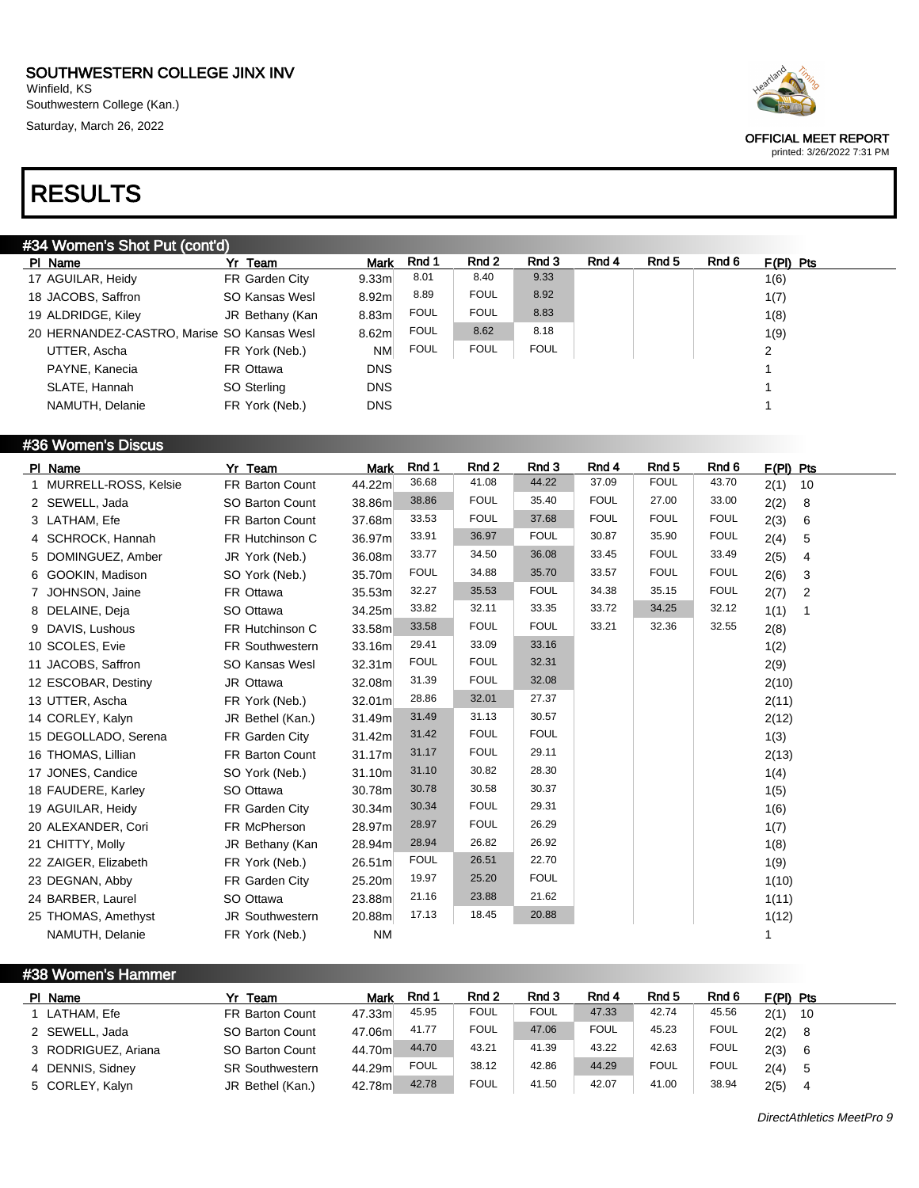Winfield, KS Southwestern College (Kan.) Saturday, March 26, 2022

# RESULTS

### #34 Women's Shot Put (cont'd)

| PI Name                                    | Yr Team         | <b>Mark</b>       | Rnd 1       | Rnd 2       | Rnd 3       | Rnd 4 | Rnd 5 | Rnd 6 | $F(PI)$ Pts    |
|--------------------------------------------|-----------------|-------------------|-------------|-------------|-------------|-------|-------|-------|----------------|
| 17 AGUILAR, Heidy                          | FR Garden City  | 9.33 <sub>m</sub> | 8.01        | 8.40        | 9.33        |       |       |       | 1(6)           |
| 18 JACOBS, Saffron                         | SO Kansas Wesl  | 8.92 <sub>m</sub> | 8.89        | <b>FOUL</b> | 8.92        |       |       |       | 1(7)           |
| 19 ALDRIDGE, Kiley                         | JR Bethany (Kan | 8.83m             | <b>FOUL</b> | <b>FOUL</b> | 8.83        |       |       |       | 1(8)           |
| 20 HERNANDEZ-CASTRO, Marise SO Kansas Wesl |                 | 8.62 <sub>m</sub> | <b>FOUL</b> | 8.62        | 8.18        |       |       |       | 1(9)           |
| UTTER, Ascha                               | FR York (Neb.)  | <b>NM</b>         | <b>FOUL</b> | <b>FOUL</b> | <b>FOUL</b> |       |       |       | $\overline{2}$ |
| PAYNE, Kanecia                             | FR Ottawa       | <b>DNS</b>        |             |             |             |       |       |       |                |
| SLATE, Hannah                              | SO Sterling     | <b>DNS</b>        |             |             |             |       |       |       |                |
| NAMUTH, Delanie                            | FR York (Neb.)  | <b>DNS</b>        |             |             |             |       |       |       |                |
|                                            |                 |                   |             |             |             |       |       |       |                |

#### #36 Women's Discus

| PI Name                | Yr Team          | <b>Mark</b> | Rnd 1       | Rnd 2       | Rnd 3       | Rnd 4       | Rnd <sub>5</sub> | Rnd 6       | F(PI) Pts              |
|------------------------|------------------|-------------|-------------|-------------|-------------|-------------|------------------|-------------|------------------------|
| 1 MURRELL-ROSS, Kelsie | FR Barton Count  | 44.22m      | 36.68       | 41.08       | 44.22       | 37.09       | <b>FOUL</b>      | 43.70       | 2(1)<br>10             |
| 2 SEWELL, Jada         | SO Barton Count  | 38.86m      | 38.86       | <b>FOUL</b> | 35.40       | <b>FOUL</b> | 27.00            | 33.00       | 2(2)<br>8              |
| 3 LATHAM, Efe          | FR Barton Count  | 37.68m      | 33.53       | <b>FOUL</b> | 37.68       | <b>FOUL</b> | <b>FOUL</b>      | <b>FOUL</b> | 2(3)<br>6              |
| 4 SCHROCK, Hannah      | FR Hutchinson C  | 36.97m      | 33.91       | 36.97       | <b>FOUL</b> | 30.87       | 35.90            | <b>FOUL</b> | 2(4)<br>5              |
| 5 DOMINGUEZ, Amber     | JR York (Neb.)   | 36.08m      | 33.77       | 34.50       | 36.08       | 33.45       | <b>FOUL</b>      | 33.49       | 2(5)<br>4              |
| 6 GOOKIN, Madison      | SO York (Neb.)   | 35.70m      | <b>FOUL</b> | 34.88       | 35.70       | 33.57       | <b>FOUL</b>      | <b>FOUL</b> | 2(6)<br>3              |
| 7 JOHNSON, Jaine       | FR Ottawa        | 35.53m      | 32.27       | 35.53       | <b>FOUL</b> | 34.38       | 35.15            | <b>FOUL</b> | 2(7)<br>$\overline{2}$ |
| 8 DELAINE, Deja        | SO Ottawa        | 34.25m      | 33.82       | 32.11       | 33.35       | 33.72       | 34.25            | 32.12       | 1(1)                   |
| 9 DAVIS, Lushous       | FR Hutchinson C  | 33.58m      | 33.58       | <b>FOUL</b> | <b>FOUL</b> | 33.21       | 32.36            | 32.55       | 2(8)                   |
| 10 SCOLES, Evie        | FR Southwestern  | 33.16m      | 29.41       | 33.09       | 33.16       |             |                  |             | 1(2)                   |
| 11 JACOBS, Saffron     | SO Kansas Wesl   | 32.31m      | <b>FOUL</b> | <b>FOUL</b> | 32.31       |             |                  |             | 2(9)                   |
| 12 ESCOBAR, Destiny    | JR Ottawa        | 32.08m      | 31.39       | <b>FOUL</b> | 32.08       |             |                  |             | 2(10)                  |
| 13 UTTER, Ascha        | FR York (Neb.)   | 32.01m      | 28.86       | 32.01       | 27.37       |             |                  |             | 2(11)                  |
| 14 CORLEY, Kalyn       | JR Bethel (Kan.) | 31.49m      | 31.49       | 31.13       | 30.57       |             |                  |             | 2(12)                  |
| 15 DEGOLLADO, Serena   | FR Garden City   | 31.42m      | 31.42       | <b>FOUL</b> | <b>FOUL</b> |             |                  |             | 1(3)                   |
| 16 THOMAS, Lillian     | FR Barton Count  | 31.17m      | 31.17       | <b>FOUL</b> | 29.11       |             |                  |             | 2(13)                  |
| 17 JONES, Candice      | SO York (Neb.)   | 31.10m      | 31.10       | 30.82       | 28.30       |             |                  |             | 1(4)                   |
| 18 FAUDERE, Karley     | SO Ottawa        | 30.78m      | 30.78       | 30.58       | 30.37       |             |                  |             | 1(5)                   |
| 19 AGUILAR, Heidy      | FR Garden City   | 30.34m      | 30.34       | <b>FOUL</b> | 29.31       |             |                  |             | 1(6)                   |
| 20 ALEXANDER, Cori     | FR McPherson     | 28.97m      | 28.97       | <b>FOUL</b> | 26.29       |             |                  |             | 1(7)                   |
| 21 CHITTY, Molly       | JR Bethany (Kan  | 28.94m      | 28.94       | 26.82       | 26.92       |             |                  |             | 1(8)                   |
| 22 ZAIGER, Elizabeth   | FR York (Neb.)   | 26.51m      | <b>FOUL</b> | 26.51       | 22.70       |             |                  |             | 1(9)                   |
| 23 DEGNAN, Abby        | FR Garden City   | 25.20m      | 19.97       | 25.20       | <b>FOUL</b> |             |                  |             | 1(10)                  |
| 24 BARBER, Laurel      | SO Ottawa        | 23.88m      | 21.16       | 23.88       | 21.62       |             |                  |             | 1(11)                  |
| 25 THOMAS, Amethyst    | JR Southwestern  | 20.88m      | 17.13       | 18.45       | 20.88       |             |                  |             | 1(12)                  |
| NAMUTH, Delanie        | FR York (Neb.)   | <b>NM</b>   |             |             |             |             |                  |             | 1                      |

### #38 Women's Hammer

| PI Name             | Yr Team                | Mark   | Rnd 1       | Rnd 2       | Rnd 3       | Rnd 4       | Rnd 5       | Rnd 6       | $F(PI)$ Pts |
|---------------------|------------------------|--------|-------------|-------------|-------------|-------------|-------------|-------------|-------------|
| 1 LATHAM, Efe       | <b>FR Barton Count</b> | 47.33m | 45.95       | <b>FOUL</b> | <b>FOUL</b> | 47.33       | 42.74       | 45.56       | 2(1)<br>10  |
| 2 SEWELL, Jada      | SO Barton Count        | 47.06m | 41.77       | <b>FOUL</b> | 47.06       | <b>FOUL</b> | 45.23       | <b>FOUL</b> | 2(2)<br>- 8 |
| 3 RODRIGUEZ, Ariana | SO Barton Count        | 44.70m | 44.70       | 43.21       | 41.39       | 43.22       | 42.63       | <b>FOUL</b> | 2(3)<br>- 6 |
| 4 DENNIS, Sidney    | <b>SR Southwestern</b> | 44.29m | <b>FOUL</b> | 38.12       | 42.86       | 44.29       | <b>FOUL</b> | <b>FOUL</b> | 2(4)        |
| 5 CORLEY, Kalyn     | JR Bethel (Kan.)       | 42.78m | 42.78       | <b>FOUL</b> | 41.50       | 42.07       | 41.00       | 38.94       | 2(5)        |

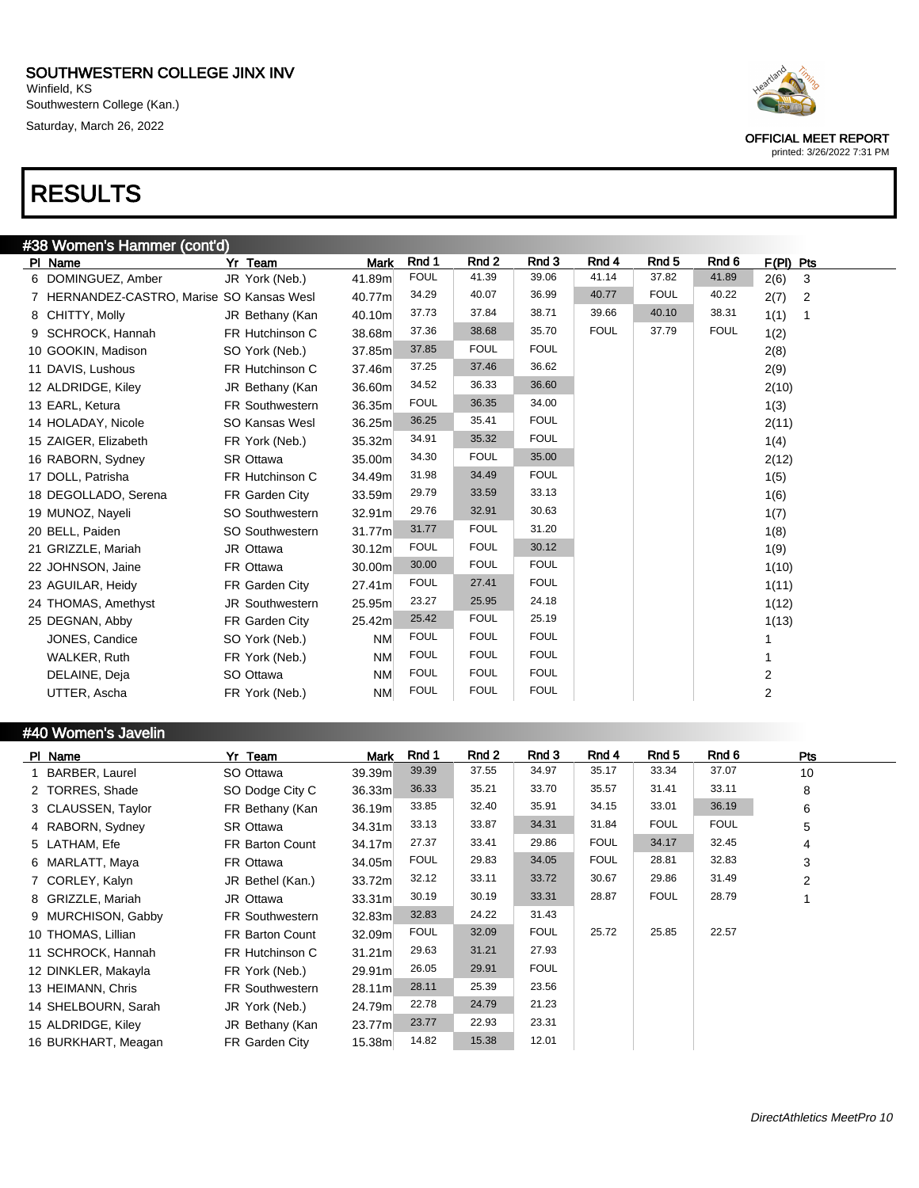Winfield, KS Southwestern College (Kan.) Saturday, March 26, 2022

# RESULTS

| #38 Women's Hammer (cont'd)               |                        |             |             |             |             |             |                  |             |             |
|-------------------------------------------|------------------------|-------------|-------------|-------------|-------------|-------------|------------------|-------------|-------------|
| PI Name                                   | Yr Team                | <b>Mark</b> | Rnd 1       | Rnd 2       | Rnd 3       | Rnd 4       | Rnd <sub>5</sub> | Rnd 6       | $F(PI)$ Pts |
| 6 DOMINGUEZ, Amber                        | JR York (Neb.)         | 41.89m      | <b>FOUL</b> | 41.39       | 39.06       | 41.14       | 37.82            | 41.89       | 2(6)<br>3   |
| 7 HERNANDEZ-CASTRO, Marise SO Kansas Wesl |                        | 40.77m      | 34.29       | 40.07       | 36.99       | 40.77       | <b>FOUL</b>      | 40.22       | 2(7)<br>2   |
| 8 CHITTY, Molly                           | JR Bethany (Kan        | 40.10m      | 37.73       | 37.84       | 38.71       | 39.66       | 40.10            | 38.31       | 1(1)<br>1   |
| 9 SCHROCK, Hannah                         | FR Hutchinson C        | 38.68m      | 37.36       | 38.68       | 35.70       | <b>FOUL</b> | 37.79            | <b>FOUL</b> | 1(2)        |
| 10 GOOKIN, Madison                        | SO York (Neb.)         | 37.85m      | 37.85       | <b>FOUL</b> | <b>FOUL</b> |             |                  |             | 2(8)        |
| 11 DAVIS, Lushous                         | FR Hutchinson C        | 37.46m      | 37.25       | 37.46       | 36.62       |             |                  |             | 2(9)        |
| 12 ALDRIDGE, Kiley                        | JR Bethany (Kan        | 36.60m      | 34.52       | 36.33       | 36.60       |             |                  |             | 2(10)       |
| 13 EARL, Ketura                           | <b>FR Southwestern</b> | 36.35m      | <b>FOUL</b> | 36.35       | 34.00       |             |                  |             | 1(3)        |
| 14 HOLADAY, Nicole                        | SO Kansas Wesl         | 36.25m      | 36.25       | 35.41       | <b>FOUL</b> |             |                  |             | 2(11)       |
| 15 ZAIGER, Elizabeth                      | FR York (Neb.)         | 35.32m      | 34.91       | 35.32       | <b>FOUL</b> |             |                  |             | 1(4)        |
| 16 RABORN, Sydney                         | SR Ottawa              | 35.00m      | 34.30       | <b>FOUL</b> | 35.00       |             |                  |             | 2(12)       |
| 17 DOLL, Patrisha                         | FR Hutchinson C        | 34.49m      | 31.98       | 34.49       | <b>FOUL</b> |             |                  |             | 1(5)        |
| 18 DEGOLLADO, Serena                      | FR Garden City         | 33.59m      | 29.79       | 33.59       | 33.13       |             |                  |             | 1(6)        |
| 19 MUNOZ, Nayeli                          | SO Southwestern        | 32.91m      | 29.76       | 32.91       | 30.63       |             |                  |             | 1(7)        |
| 20 BELL, Paiden                           | SO Southwestern        | 31.77m      | 31.77       | <b>FOUL</b> | 31.20       |             |                  |             | 1(8)        |
| 21 GRIZZLE, Mariah                        | JR Ottawa              | 30.12m      | <b>FOUL</b> | <b>FOUL</b> | 30.12       |             |                  |             | 1(9)        |
| 22 JOHNSON, Jaine                         | FR Ottawa              | 30.00m      | 30.00       | <b>FOUL</b> | <b>FOUL</b> |             |                  |             | 1(10)       |
| 23 AGUILAR, Heidy                         | FR Garden City         | 27.41m      | <b>FOUL</b> | 27.41       | <b>FOUL</b> |             |                  |             | 1(11)       |
| 24 THOMAS, Amethyst                       | JR Southwestern        | 25.95m      | 23.27       | 25.95       | 24.18       |             |                  |             | 1(12)       |
| 25 DEGNAN, Abby                           | FR Garden City         | 25.42m      | 25.42       | <b>FOUL</b> | 25.19       |             |                  |             | 1(13)       |
| JONES, Candice                            | SO York (Neb.)         | <b>NM</b>   | <b>FOUL</b> | <b>FOUL</b> | <b>FOUL</b> |             |                  |             |             |
| WALKER, Ruth                              | FR York (Neb.)         | <b>NM</b>   | <b>FOUL</b> | <b>FOUL</b> | <b>FOUL</b> |             |                  |             |             |
| DELAINE, Deja                             | SO Ottawa              | <b>NM</b>   | <b>FOUL</b> | <b>FOUL</b> | <b>FOUL</b> |             |                  |             | 2           |
| UTTER, Ascha                              | FR York (Neb.)         | <b>NM</b>   | <b>FOUL</b> | <b>FOUL</b> | <b>FOUL</b> |             |                  |             | 2           |

#### #40 Women's Javelin

| PI Name             | Yr Team                | Mark               | Rnd 1       | Rnd 2 | Rnd 3       | Rnd 4       | Rnd 5       | Rnd 6       | Pts            |
|---------------------|------------------------|--------------------|-------------|-------|-------------|-------------|-------------|-------------|----------------|
| BARBER, Laurel      | SO Ottawa              | 39.39m             | 39.39       | 37.55 | 34.97       | 35.17       | 33.34       | 37.07       | 10             |
| 2 TORRES, Shade     | SO Dodge City C        | 36.33m             | 36.33       | 35.21 | 33.70       | 35.57       | 31.41       | 33.11       | 8              |
| 3 CLAUSSEN, Taylor  | FR Bethany (Kan        | 36.19m             | 33.85       | 32.40 | 35.91       | 34.15       | 33.01       | 36.19       | 6              |
| 4 RABORN, Sydney    | <b>SR Ottawa</b>       | 34.31 <sub>m</sub> | 33.13       | 33.87 | 34.31       | 31.84       | <b>FOUL</b> | <b>FOUL</b> | 5              |
| 5 LATHAM, Efe       | <b>FR Barton Count</b> | 34.17m             | 27.37       | 33.41 | 29.86       | <b>FOUL</b> | 34.17       | 32.45       | 4              |
| 6 MARLATT, Maya     | FR Ottawa              | 34.05m             | <b>FOUL</b> | 29.83 | 34.05       | <b>FOUL</b> | 28.81       | 32.83       | 3              |
| 7 CORLEY, Kalyn     | JR Bethel (Kan.)       | 33.72m             | 32.12       | 33.11 | 33.72       | 30.67       | 29.86       | 31.49       | $\overline{2}$ |
| 8 GRIZZLE, Mariah   | JR Ottawa              | 33.31 <sub>m</sub> | 30.19       | 30.19 | 33.31       | 28.87       | <b>FOUL</b> | 28.79       | 1              |
| 9 MURCHISON, Gabby  | <b>FR Southwestern</b> | 32.83m             | 32.83       | 24.22 | 31.43       |             |             |             |                |
| 10 THOMAS, Lillian  | <b>FR Barton Count</b> | 32.09m             | <b>FOUL</b> | 32.09 | <b>FOUL</b> | 25.72       | 25.85       | 22.57       |                |
| 11 SCHROCK, Hannah  | FR Hutchinson C        | 31.21m             | 29.63       | 31.21 | 27.93       |             |             |             |                |
| 12 DINKLER, Makayla | FR York (Neb.)         | 29.91m             | 26.05       | 29.91 | <b>FOUL</b> |             |             |             |                |
| 13 HEIMANN, Chris   | FR Southwestern        | 28.11m             | 28.11       | 25.39 | 23.56       |             |             |             |                |
| 14 SHELBOURN, Sarah | JR York (Neb.)         | 24.79m             | 22.78       | 24.79 | 21.23       |             |             |             |                |
| 15 ALDRIDGE, Kiley  | JR Bethany (Kan        | 23.77m             | 23.77       | 22.93 | 23.31       |             |             |             |                |
| 16 BURKHART, Meagan | FR Garden City         | 15.38m             | 14.82       | 15.38 | 12.01       |             |             |             |                |



OFFICIAL MEET REPORT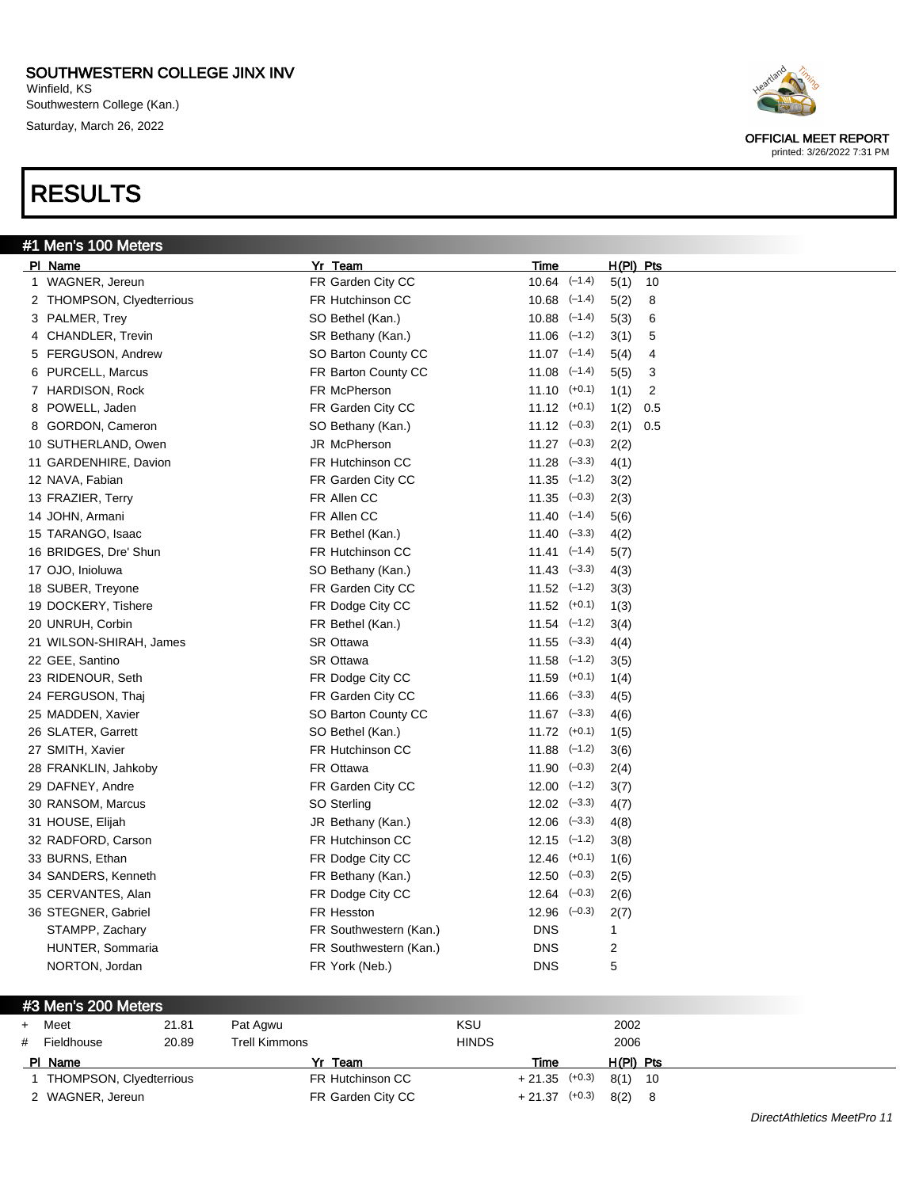Winfield, KS Southwestern College (Kan.) Saturday, March 26, 2022

# RESULTS

#1 I



OFFICIAL MEET REPORT printed: 3/26/2022 7:31 PM

| <sup>#1</sup> Men's 100 Meters |                         |                      |          |           |     |
|--------------------------------|-------------------------|----------------------|----------|-----------|-----|
| PI Name                        | Yr Team                 | Time                 |          | H(PI) Pts |     |
| 1 WAGNER, Jereun               | FR Garden City CC       | $10.64$ $(-1.4)$     |          | 5(1)      | 10  |
| 2 THOMPSON, Clyedterrious      | FR Hutchinson CC        | $10.68$ $(-1.4)$     |          | 5(2)      | 8   |
| 3 PALMER, Trey                 | SO Bethel (Kan.)        | $10.88$ $(-1.4)$     |          | 5(3)      | 6   |
| 4 CHANDLER, Trevin             | SR Bethany (Kan.)       | $11.06$ $(-1.2)$     |          | 3(1)      | 5   |
| 5 FERGUSON, Andrew             | SO Barton County CC     | $11.07$ $(-1.4)$     |          | 5(4)      | 4   |
| 6 PURCELL, Marcus              | FR Barton County CC     | $11.08$ $(-1.4)$     |          | 5(5)      | 3   |
| 7 HARDISON, Rock               | FR McPherson            | $11.10$ $(+0.1)$     |          | 1(1)      | 2   |
| 8 POWELL, Jaden                | FR Garden City CC       | $11.12$ $(+0.1)$     |          | 1(2)      | 0.5 |
| 8 GORDON, Cameron              | SO Bethany (Kan.)       | $11.12$ $(-0.3)$     |          | 2(1)      | 0.5 |
| 10 SUTHERLAND, Owen            | JR McPherson            | $11.27$ $(-0.3)$     |          | 2(2)      |     |
| 11 GARDENHIRE, Davion          | <b>FR Hutchinson CC</b> | $11.28$ $(-3.3)$     |          | 4(1)      |     |
| 12 NAVA, Fabian                | FR Garden City CC       | $11.35$ $(-1.2)$     |          | 3(2)      |     |
| 13 FRAZIER, Terry              | FR Allen CC             | $11.35 \quad (-0.3)$ |          | 2(3)      |     |
| 14 JOHN, Armani                | FR Allen CC             | $11.40$ $(-1.4)$     |          | 5(6)      |     |
| 15 TARANGO, Isaac              | FR Bethel (Kan.)        | $11.40 \quad (-3.3)$ |          | 4(2)      |     |
| 16 BRIDGES, Dre' Shun          | FR Hutchinson CC        | $11.41$ $(-1.4)$     |          | 5(7)      |     |
| 17 OJO, Inioluwa               | SO Bethany (Kan.)       | $11.43$ $(-3.3)$     |          | 4(3)      |     |
| 18 SUBER, Treyone              | FR Garden City CC       | $11.52$ $(-1.2)$     |          | 3(3)      |     |
| 19 DOCKERY, Tishere            | FR Dodge City CC        | $11.52$ $(+0.1)$     |          | 1(3)      |     |
| 20 UNRUH, Corbin               | FR Bethel (Kan.)        | $11.54$ $(-1.2)$     |          | 3(4)      |     |
| 21 WILSON-SHIRAH, James        | SR Ottawa               | $11.55$ $(-3.3)$     |          | 4(4)      |     |
| 22 GEE, Santino                | <b>SR Ottawa</b>        | 11.58                | $(-1.2)$ | 3(5)      |     |
| 23 RIDENOUR, Seth              | FR Dodge City CC        | $11.59$ $(+0.1)$     |          | 1(4)      |     |

24 FERGUSON, Thaj **FR Garden City CC** 11.66 (-3.3) 4(5) 25 MADDEN, Xavier SO Barton County CC 11.67 (-3.3) 4(6) 26 SLATER, Garrett SO Bethel (Kan.) 11.72 (+0.1) 1(5) 27 SMITH, Xavier FR Hutchinson CC 11.88 (–1.2) 3(6) 28 FRANKLIN, Jahkoby FR Ottawa 11.90 (–0.3) 2(4) 29 DAFNEY, Andre **FR Garden City CC** 12.00 (-1.2) 3(7) 30 RANSOM, Marcus SO Sterling 12.02 (-3.3) 4(7) 31 HOUSE, Elijah **JR Bethany (Kan.)** 12.06 (-3.3) 4(8) 32 RADFORD, Carson FR Hutchinson CC 12.15 (–1.2) 3(8) 33 BURNS, Ethan **FR Dodge City CC** 12.46 (+0.1) 1(6) 34 SANDERS, Kenneth FR Bethany (Kan.) 12.50 (–0.3) 2(5) 35 CERVANTES, Alan **FR Dodge City CC** 12.64 (-0.3) 2(6) 36 STEGNER, Gabriel FR Hesston 12.96 (–0.3) 2(7) STAMPP, Zachary **EXAMP** FR Southwestern (Kan.) DNS 1 HUNTER, Sommaria **FR Southwestern (Kan.)** DNS 2 NORTON, Jordan **ER York (Neb.)** DNS 5

+ Meet 21.81 Pat Agwu KSU 2002 # Fieldhouse 20.89 Trell Kimmons HINDS 2006

Pl Name Yr Team Time H(Pl) Pts 1 THOMPSON, Clyedterrious FR Hutchinson CC + 21.35 (+0.3) 8(1) 10

2 WAGNER, Jereun **FR Garden City CC** + 21.37 (+0.3) 8(2) 8

#3 Men's 200 Meters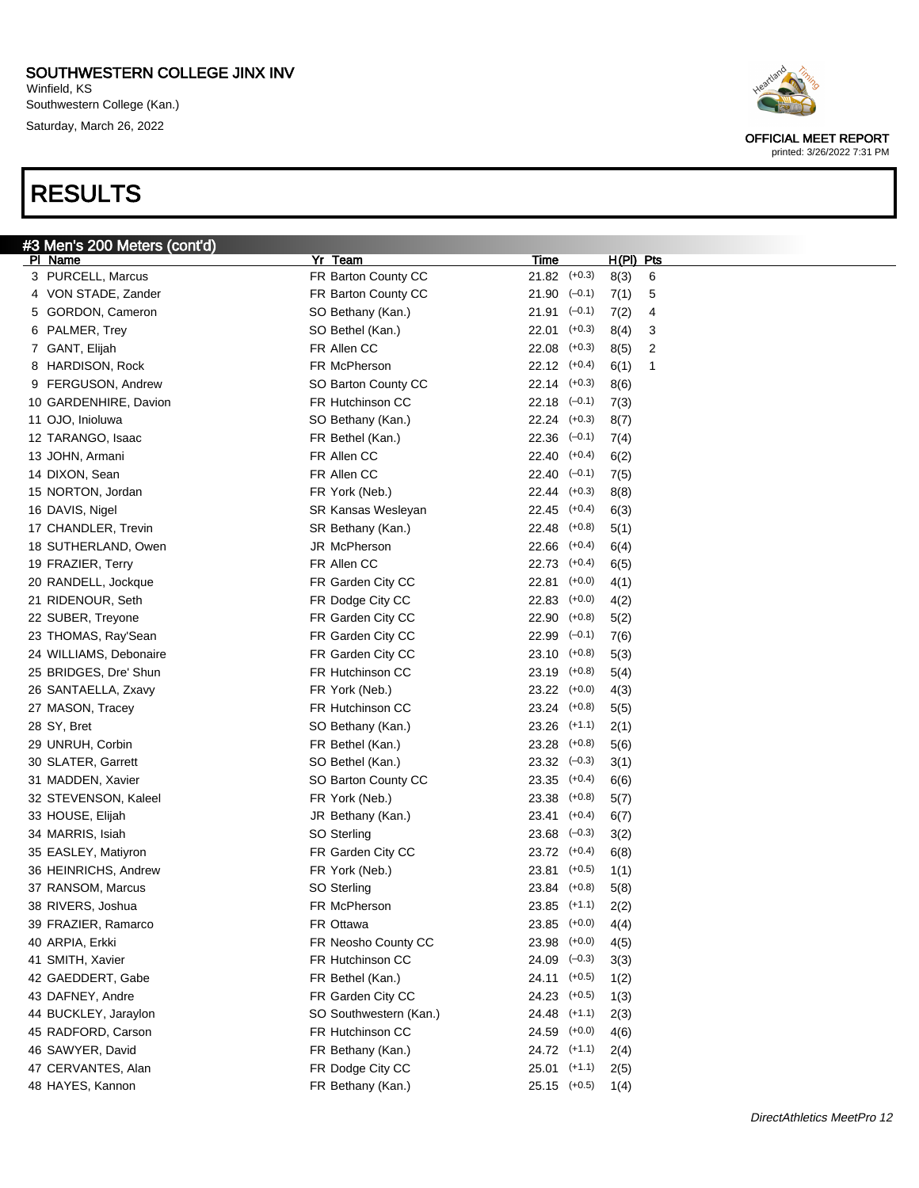Winfield, KS Southwestern College (Kan.) Saturday, March 26, 2022

# RESULTS



| #3 Men's 200 Meters (cont'd) |                        |                   |           |   |  |
|------------------------------|------------------------|-------------------|-----------|---|--|
| PI Name                      | Yr Team                | <b>Time</b>       | H(PI) Pts |   |  |
| 3 PURCELL, Marcus            | FR Barton County CC    | $21.82$ (+0.3)    | 8(3)      | 6 |  |
| 4 VON STADE, Zander          | FR Barton County CC    | $21.90$ $(-0.1)$  | 7(1)      | 5 |  |
| GORDON, Cameron<br>5         | SO Bethany (Kan.)      | 21.91<br>$(-0.1)$ | 7(2)      | 4 |  |
| PALMER, Trey<br>6            | SO Bethel (Kan.)       | 22.01<br>$(+0.3)$ | 8(4)      | 3 |  |
| 7 GANT, Elijah               | FR Allen CC            | 22.08<br>$(+0.3)$ | 8(5)      | 2 |  |
| <b>HARDISON, Rock</b><br>8   | FR McPherson           | $22.12$ $(+0.4)$  | 6(1)      | 1 |  |
| <b>FERGUSON, Andrew</b><br>9 | SO Barton County CC    | $22.14$ $(+0.3)$  | 8(6)      |   |  |
| 10 GARDENHIRE, Davion        | FR Hutchinson CC       | $22.18$ $(-0.1)$  | 7(3)      |   |  |
| 11 OJO, Inioluwa             | SO Bethany (Kan.)      | $22.24$ $(+0.3)$  | 8(7)      |   |  |
| 12 TARANGO, Isaac            | FR Bethel (Kan.)       | $22.36$ $(-0.1)$  | 7(4)      |   |  |
| 13 JOHN, Armani              | FR Allen CC            | $22.40$ (+0.4)    | 6(2)      |   |  |
| 14 DIXON, Sean               | FR Allen CC            | $22.40$ $(-0.1)$  | 7(5)      |   |  |
| 15 NORTON, Jordan            | FR York (Neb.)         | $22.44$ $(+0.3)$  | 8(8)      |   |  |
| 16 DAVIS, Nigel              | SR Kansas Wesleyan     | 22.45<br>$(+0.4)$ | 6(3)      |   |  |
| 17 CHANDLER, Trevin          | SR Bethany (Kan.)      | 22.48<br>$(+0.8)$ | 5(1)      |   |  |
| 18 SUTHERLAND, Owen          | JR McPherson           | $22.66$ $(+0.4)$  | 6(4)      |   |  |
| 19 FRAZIER, Terry            | FR Allen CC            | 22.73<br>$(+0.4)$ | 6(5)      |   |  |
| 20 RANDELL, Jockque          | FR Garden City CC      | 22.81<br>$(+0.0)$ | 4(1)      |   |  |
| 21 RIDENOUR, Seth            | FR Dodge City CC       | 22.83<br>$(+0.0)$ | 4(2)      |   |  |
| 22 SUBER, Treyone            | FR Garden City CC      | 22.90<br>$(+0.8)$ | 5(2)      |   |  |
| 23 THOMAS, Ray'Sean          | FR Garden City CC      | 22.99<br>$(-0.1)$ | 7(6)      |   |  |
| 24 WILLIAMS, Debonaire       | FR Garden City CC      | 23.10<br>$(+0.8)$ | 5(3)      |   |  |
| 25 BRIDGES, Dre' Shun        | FR Hutchinson CC       | 23.19<br>$(+0.8)$ | 5(4)      |   |  |
| 26 SANTAELLA, Zxavy          | FR York (Neb.)         | 23.22<br>$(+0.0)$ | 4(3)      |   |  |
| 27 MASON, Tracey             | FR Hutchinson CC       | 23.24<br>$(+0.8)$ | 5(5)      |   |  |
| 28 SY, Bret                  | SO Bethany (Kan.)      | 23.26<br>$(+1.1)$ | 2(1)      |   |  |
| 29 UNRUH, Corbin             | FR Bethel (Kan.)       | 23.28<br>$(+0.8)$ | 5(6)      |   |  |
| 30 SLATER, Garrett           | SO Bethel (Kan.)       | $23.32$ $(-0.3)$  | 3(1)      |   |  |
| 31 MADDEN, Xavier            | SO Barton County CC    | $23.35$ $(+0.4)$  | 6(6)      |   |  |
| 32 STEVENSON, Kaleel         | FR York (Neb.)         | 23.38<br>$(+0.8)$ | 5(7)      |   |  |
| 33 HOUSE, Elijah             | JR Bethany (Kan.)      | 23.41<br>$(+0.4)$ | 6(7)      |   |  |
| 34 MARRIS, Isiah             | SO Sterling            | 23.68<br>$(-0.3)$ | 3(2)      |   |  |
| 35 EASLEY, Matiyron          | FR Garden City CC      | $(+0.4)$<br>23.72 | 6(8)      |   |  |
| 36 HEINRICHS, Andrew         | FR York (Neb.)         | 23.81<br>$(+0.5)$ | 1(1)      |   |  |
| 37 RANSOM, Marcus            | SO Sterling            | 23.84 (+0.8)      | 5(8)      |   |  |
| 38 RIVERS, Joshua            | FR McPherson           | $23.85$ (+1.1)    | 2(2)      |   |  |
| 39 FRAZIER, Ramarco          | FR Ottawa              | $23.85$ (+0.0)    | 4(4)      |   |  |
| 40 ARPIA, Erkki              | FR Neosho County CC    | $23.98$ (+0.0)    | 4(5)      |   |  |
| 41 SMITH, Xavier             | FR Hutchinson CC       | $24.09$ $(-0.3)$  | 3(3)      |   |  |
| 42 GAEDDERT, Gabe            | FR Bethel (Kan.)       | $24.11$ (+0.5)    | 1(2)      |   |  |
| 43 DAFNEY, Andre             | FR Garden City CC      | 24.23 (+0.5)      | 1(3)      |   |  |
| 44 BUCKLEY, Jaraylon         | SO Southwestern (Kan.) | $24.48$ (+1.1)    | 2(3)      |   |  |
| 45 RADFORD, Carson           | FR Hutchinson CC       | $24.59$ $(+0.0)$  | 4(6)      |   |  |
| 46 SAWYER, David             | FR Bethany (Kan.)      | 24.72 (+1.1)      | 2(4)      |   |  |
|                              |                        |                   |           |   |  |
| 47 CERVANTES, Alan           | FR Dodge City CC       | $25.01$ (+1.1)    | 2(5)      |   |  |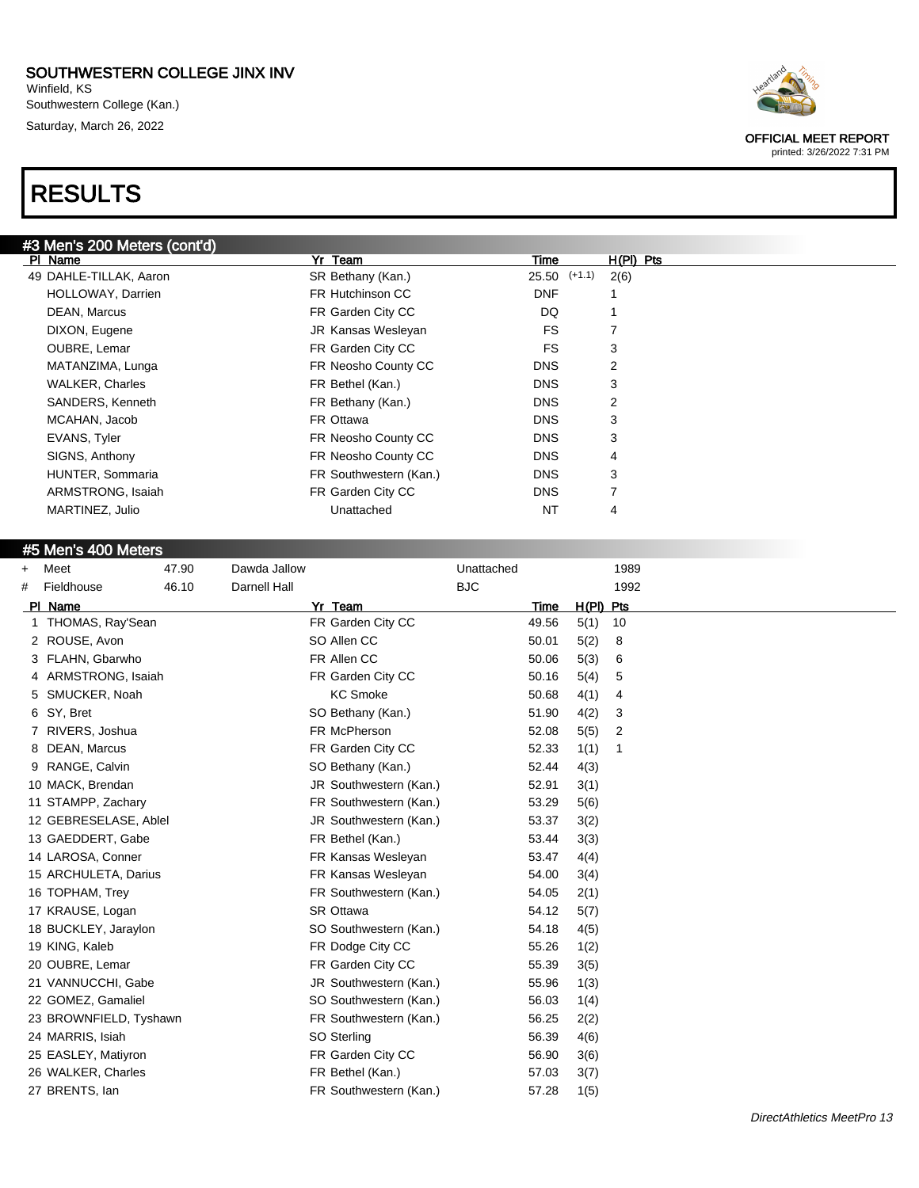Winfield, KS Southwestern College (Kan.) Saturday, March 26, 2022

# RESULTS



#### #5 Men's 400 Meters

| $\ddot{}$ | Meet                   | 47.90 | Dawda Jallow        |                        | Unattached |       |             | 1989 |
|-----------|------------------------|-------|---------------------|------------------------|------------|-------|-------------|------|
| #         | Fieldhouse             | 46.10 | <b>Darnell Hall</b> |                        | <b>BJC</b> |       |             | 1992 |
|           | PI Name                |       |                     | Yr Team                |            | Time  | $H(PI)$ Pts |      |
|           | THOMAS, Ray'Sean       |       |                     | FR Garden City CC      |            | 49.56 | 5(1)        | 10   |
|           | 2 ROUSE, Avon          |       |                     | SO Allen CC            |            | 50.01 | 5(2)        | 8    |
| 3         | FLAHN, Gbarwho         |       |                     | FR Allen CC            |            | 50.06 | 5(3)        | 6    |
|           | ARMSTRONG, Isaiah      |       |                     | FR Garden City CC      |            | 50.16 | 5(4)        | 5    |
| 5         | SMUCKER, Noah          |       |                     | <b>KC Smoke</b>        |            | 50.68 | 4(1)        | 4    |
| 6         | SY, Bret               |       |                     | SO Bethany (Kan.)      |            | 51.90 | 4(2)        | 3    |
| 7         | RIVERS, Joshua         |       |                     | FR McPherson           |            | 52.08 | 5(5)        | 2    |
| 8         | DEAN, Marcus           |       |                     | FR Garden City CC      |            | 52.33 | 1(1)        | 1    |
| 9         | RANGE, Calvin          |       |                     | SO Bethany (Kan.)      |            | 52.44 | 4(3)        |      |
|           | 10 MACK, Brendan       |       |                     | JR Southwestern (Kan.) |            | 52.91 | 3(1)        |      |
|           | 11 STAMPP, Zachary     |       |                     | FR Southwestern (Kan.) |            | 53.29 | 5(6)        |      |
|           | 12 GEBRESELASE, Ablel  |       |                     | JR Southwestern (Kan.) |            | 53.37 | 3(2)        |      |
|           | 13 GAEDDERT, Gabe      |       |                     | FR Bethel (Kan.)       |            | 53.44 | 3(3)        |      |
|           | 14 LAROSA, Conner      |       |                     | FR Kansas Wesleyan     |            | 53.47 | 4(4)        |      |
|           | 15 ARCHULETA, Darius   |       |                     | FR Kansas Wesleyan     |            | 54.00 | 3(4)        |      |
|           | 16 TOPHAM, Trey        |       |                     | FR Southwestern (Kan.) |            | 54.05 | 2(1)        |      |
|           | 17 KRAUSE, Logan       |       |                     | <b>SR Ottawa</b>       |            | 54.12 | 5(7)        |      |
|           | 18 BUCKLEY, Jaraylon   |       |                     | SO Southwestern (Kan.) |            | 54.18 | 4(5)        |      |
|           | 19 KING, Kaleb         |       |                     | FR Dodge City CC       |            | 55.26 | 1(2)        |      |
|           | 20 OUBRE, Lemar        |       |                     | FR Garden City CC      |            | 55.39 | 3(5)        |      |
|           | 21 VANNUCCHI, Gabe     |       |                     | JR Southwestern (Kan.) |            | 55.96 | 1(3)        |      |
|           | 22 GOMEZ, Gamaliel     |       |                     | SO Southwestern (Kan.) |            | 56.03 | 1(4)        |      |
|           | 23 BROWNFIELD, Tyshawn |       |                     | FR Southwestern (Kan.) |            | 56.25 | 2(2)        |      |
|           | 24 MARRIS, Isiah       |       |                     | SO Sterling            |            | 56.39 | 4(6)        |      |
|           | 25 EASLEY, Matiyron    |       |                     | FR Garden City CC      |            | 56.90 | 3(6)        |      |
|           | 26 WALKER, Charles     |       |                     | FR Bethel (Kan.)       |            | 57.03 | 3(7)        |      |
|           | 27 BRENTS, lan         |       |                     | FR Southwestern (Kan.) |            | 57.28 | 1(5)        |      |



OFFICIAL MEET REPORT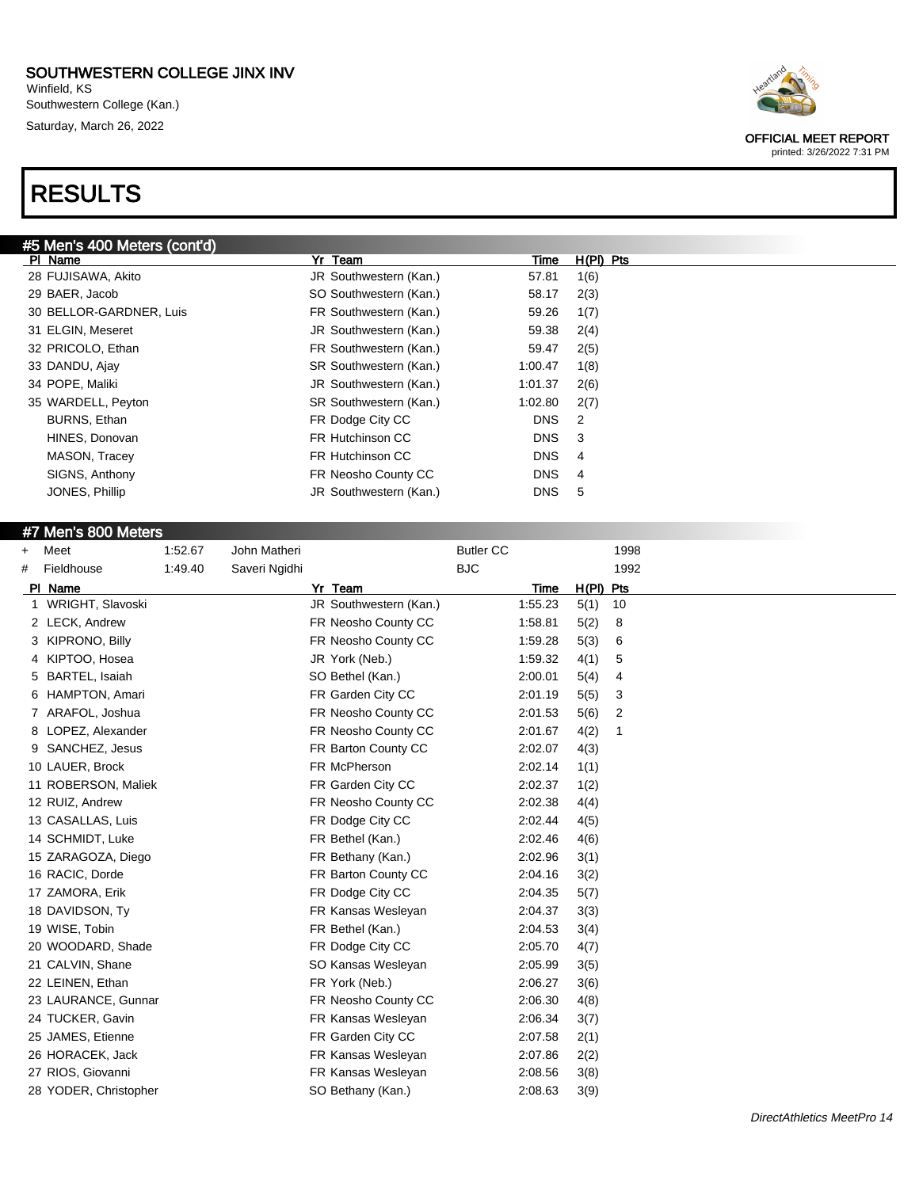Winfield, KS Southwestern College (Kan.) Saturday, March 26, 2022

# RESULTS

| #5 Men's 400 Meters (cont'd) |                        |            |             |
|------------------------------|------------------------|------------|-------------|
| PI Name                      | Team<br>Yr             | Time       | $H(PI)$ Pts |
| 28 FUJISAWA, Akito           | JR Southwestern (Kan.) | 57.81      | 1(6)        |
| 29 BAER, Jacob               | SO Southwestern (Kan.) | 58.17      | 2(3)        |
| 30 BELLOR-GARDNER, Luis      | FR Southwestern (Kan.) | 59.26      | 1(7)        |
| 31 ELGIN, Meseret            | JR Southwestern (Kan.) | 59.38      | 2(4)        |
| 32 PRICOLO, Ethan            | FR Southwestern (Kan.) | 59.47      | 2(5)        |
| 33 DANDU, Ajay               | SR Southwestern (Kan.) | 1:00.47    | 1(8)        |
| 34 POPE, Maliki              | JR Southwestern (Kan.) | 1:01.37    | 2(6)        |
| 35 WARDELL, Peyton           | SR Southwestern (Kan.) | 1:02.80    | 2(7)        |
| BURNS, Ethan                 | FR Dodge City CC       | <b>DNS</b> | 2           |
| HINES, Donovan               | FR Hutchinson CC       | <b>DNS</b> | -3          |
| MASON, Tracey                | FR Hutchinson CC       | <b>DNS</b> | 4           |
| SIGNS, Anthony               | FR Neosho County CC    | <b>DNS</b> | 4           |
| JONES, Phillip               | JR Southwestern (Kan.) | <b>DNS</b> | 5           |
|                              |                        |            |             |

#### #7 Men's 800 Meters

| +  | Meet                  | 1:52.67 | John Matheri  |                        | <b>Butler CC</b> |         |             | 1998 |
|----|-----------------------|---------|---------------|------------------------|------------------|---------|-------------|------|
| #  | Fieldhouse            | 1:49.40 | Saveri Ngidhi |                        | <b>BJC</b>       |         |             | 1992 |
|    | PI Name               |         |               | Yr Team                |                  | Time    | $H(PI)$ Pts |      |
|    | WRIGHT, Slavoski      |         |               | JR Southwestern (Kan.) |                  | 1:55.23 | 5(1)        | 10   |
|    | 2 LECK, Andrew        |         |               | FR Neosho County CC    |                  | 1:58.81 | 5(2)        | 8    |
| 3. | KIPRONO, Billy        |         |               | FR Neosho County CC    |                  | 1:59.28 | 5(3)        | 6    |
| 4  | KIPTOO, Hosea         |         |               | JR York (Neb.)         |                  | 1:59.32 | 4(1)        | 5    |
| 5  | BARTEL, Isaiah        |         |               | SO Bethel (Kan.)       |                  | 2:00.01 | 5(4)        | 4    |
| 6  | <b>HAMPTON, Amari</b> |         |               | FR Garden City CC      |                  | 2:01.19 | 5(5)        | 3    |
|    | ARAFOL, Joshua        |         |               | FR Neosho County CC    |                  | 2:01.53 | 5(6)        | 2    |
| 8  | LOPEZ, Alexander      |         |               | FR Neosho County CC    |                  | 2:01.67 | 4(2)        | -1   |
| 9  | SANCHEZ, Jesus        |         |               | FR Barton County CC    |                  | 2:02.07 | 4(3)        |      |
|    | 10 LAUER, Brock       |         |               | FR McPherson           |                  | 2:02.14 | 1(1)        |      |
|    | 11 ROBERSON, Maliek   |         |               | FR Garden City CC      |                  | 2:02.37 | 1(2)        |      |
|    | 12 RUIZ, Andrew       |         |               | FR Neosho County CC    |                  | 2:02.38 | 4(4)        |      |
|    | 13 CASALLAS, Luis     |         |               | FR Dodge City CC       |                  | 2:02.44 | 4(5)        |      |
|    | 14 SCHMIDT, Luke      |         |               | FR Bethel (Kan.)       |                  | 2:02.46 | 4(6)        |      |
|    | 15 ZARAGOZA, Diego    |         |               | FR Bethany (Kan.)      |                  | 2:02.96 | 3(1)        |      |
|    | 16 RACIC, Dorde       |         |               | FR Barton County CC    |                  | 2:04.16 | 3(2)        |      |
|    | 17 ZAMORA, Erik       |         |               | FR Dodge City CC       |                  | 2:04.35 | 5(7)        |      |
|    | 18 DAVIDSON, Ty       |         |               | FR Kansas Wesleyan     |                  | 2:04.37 | 3(3)        |      |
|    | 19 WISE, Tobin        |         |               | FR Bethel (Kan.)       |                  | 2:04.53 | 3(4)        |      |
|    | 20 WOODARD, Shade     |         |               | FR Dodge City CC       |                  | 2:05.70 | 4(7)        |      |
|    | 21 CALVIN, Shane      |         |               | SO Kansas Wesleyan     |                  | 2:05.99 | 3(5)        |      |
|    | 22 LEINEN, Ethan      |         |               | FR York (Neb.)         |                  | 2:06.27 | 3(6)        |      |
|    | 23 LAURANCE, Gunnar   |         |               | FR Neosho County CC    |                  | 2:06.30 | 4(8)        |      |
|    | 24 TUCKER, Gavin      |         |               | FR Kansas Wesleyan     |                  | 2:06.34 | 3(7)        |      |
|    | 25 JAMES, Etienne     |         |               | FR Garden City CC      |                  | 2:07.58 | 2(1)        |      |
|    | 26 HORACEK, Jack      |         |               | FR Kansas Wesleyan     |                  | 2:07.86 | 2(2)        |      |
|    | 27 RIOS, Giovanni     |         |               | FR Kansas Wesleyan     |                  | 2:08.56 | 3(8)        |      |
|    | 28 YODER, Christopher |         |               | SO Bethany (Kan.)      |                  | 2:08.63 | 3(9)        |      |



OFFICIAL MEET REPORT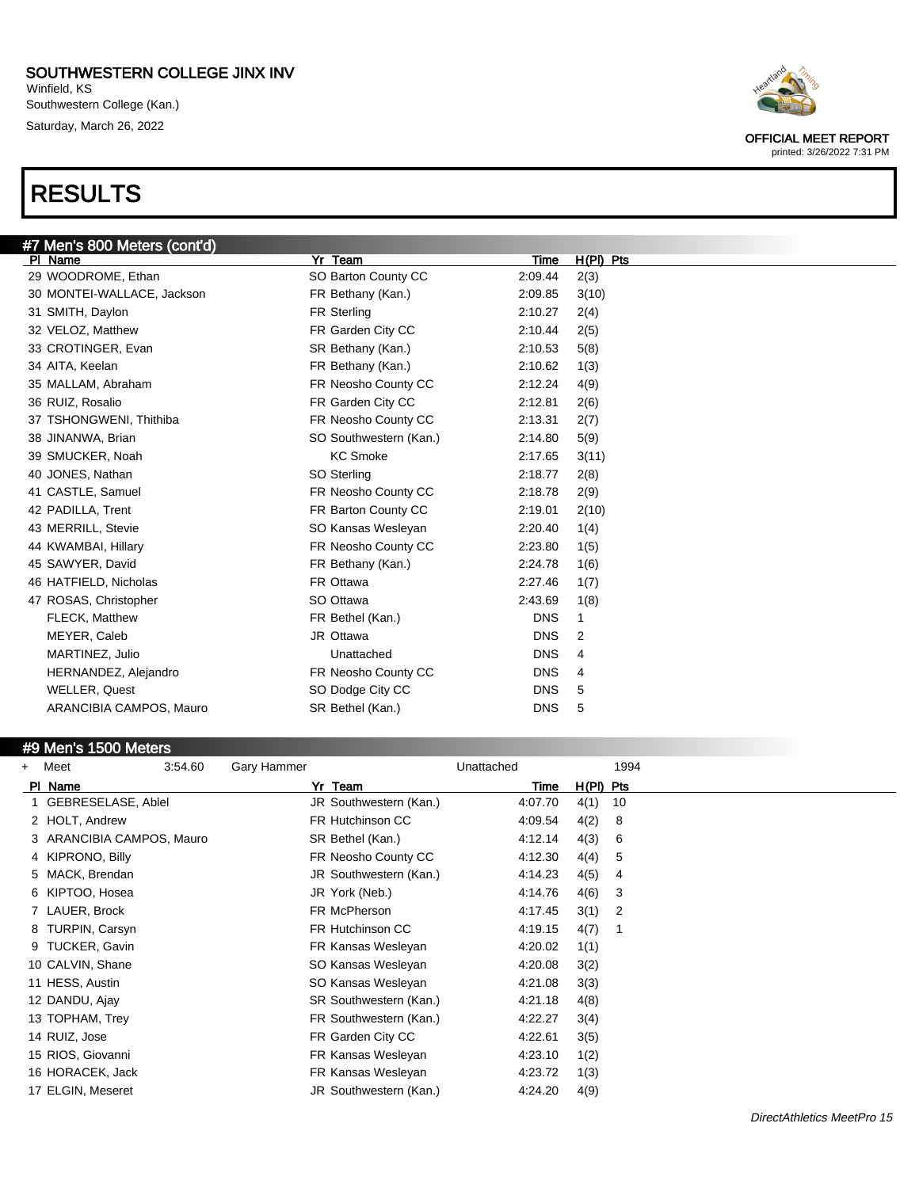Winfield, KS Southwestern College (Kan.) Saturday, March 26, 2022

# RESULTS



#### #9 Men's 1500 Meters

| $+$ | Meet                      | 3:54.60 | Gary Hammer |                        | Unattached |             | 1994 |  |
|-----|---------------------------|---------|-------------|------------------------|------------|-------------|------|--|
|     | PI Name                   |         |             | Yr Team                | Time       | $H(PI)$ Pts |      |  |
|     | GEBRESELASE, Ablel        |         |             | JR Southwestern (Kan.) | 4:07.70    | 4(1)        | 10   |  |
|     | 2 HOLT, Andrew            |         |             | FR Hutchinson CC       | 4:09.54    | 4(2)        | 8    |  |
|     | 3 ARANCIBIA CAMPOS, Mauro |         |             | SR Bethel (Kan.)       | 4:12.14    | 4(3)        | 6    |  |
|     | 4 KIPRONO, Billy          |         |             | FR Neosho County CC    | 4:12.30    | 4(4)        | 5    |  |
|     | 5 MACK, Brendan           |         |             | JR Southwestern (Kan.) | 4:14.23    | 4(5)        | 4    |  |
|     | 6 KIPTOO, Hosea           |         |             | JR York (Neb.)         | 4:14.76    | 4(6)        | 3    |  |
|     | 7 LAUER, Brock            |         |             | FR McPherson           | 4:17.45    | 3(1)        | 2    |  |
|     | 8 TURPIN, Carsyn          |         |             | FR Hutchinson CC       | 4:19.15    | 4(7)        |      |  |
|     | 9 TUCKER, Gavin           |         |             | FR Kansas Wesleyan     | 4:20.02    | 1(1)        |      |  |
|     | 10 CALVIN, Shane          |         |             | SO Kansas Wesleyan     | 4:20.08    | 3(2)        |      |  |
|     | 11 HESS, Austin           |         |             | SO Kansas Wesleyan     | 4:21.08    | 3(3)        |      |  |
|     | 12 DANDU, Ajay            |         |             | SR Southwestern (Kan.) | 4:21.18    | 4(8)        |      |  |
|     | 13 TOPHAM, Trey           |         |             | FR Southwestern (Kan.) | 4:22.27    | 3(4)        |      |  |
|     | 14 RUIZ, Jose             |         |             | FR Garden City CC      | 4:22.61    | 3(5)        |      |  |
|     | 15 RIOS, Giovanni         |         |             | FR Kansas Wesleyan     | 4:23.10    | 1(2)        |      |  |
|     | 16 HORACEK, Jack          |         |             | FR Kansas Wesleyan     | 4:23.72    | 1(3)        |      |  |
|     | 17 ELGIN, Meseret         |         |             | JR Southwestern (Kan.) | 4:24.20    | 4(9)        |      |  |



OFFICIAL MEET REPORT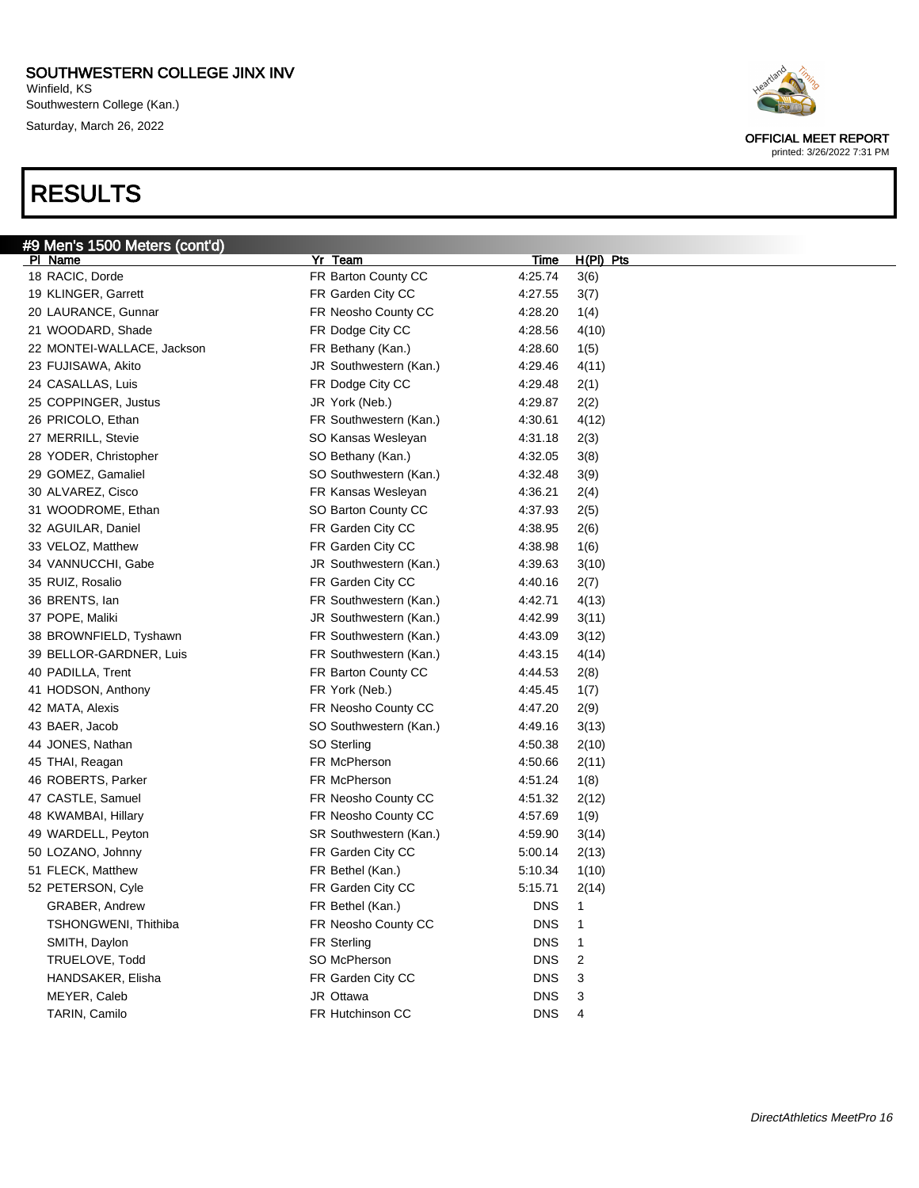Winfield, KS Southwestern College (Kan.) Saturday, March 26, 2022

# RESULTS



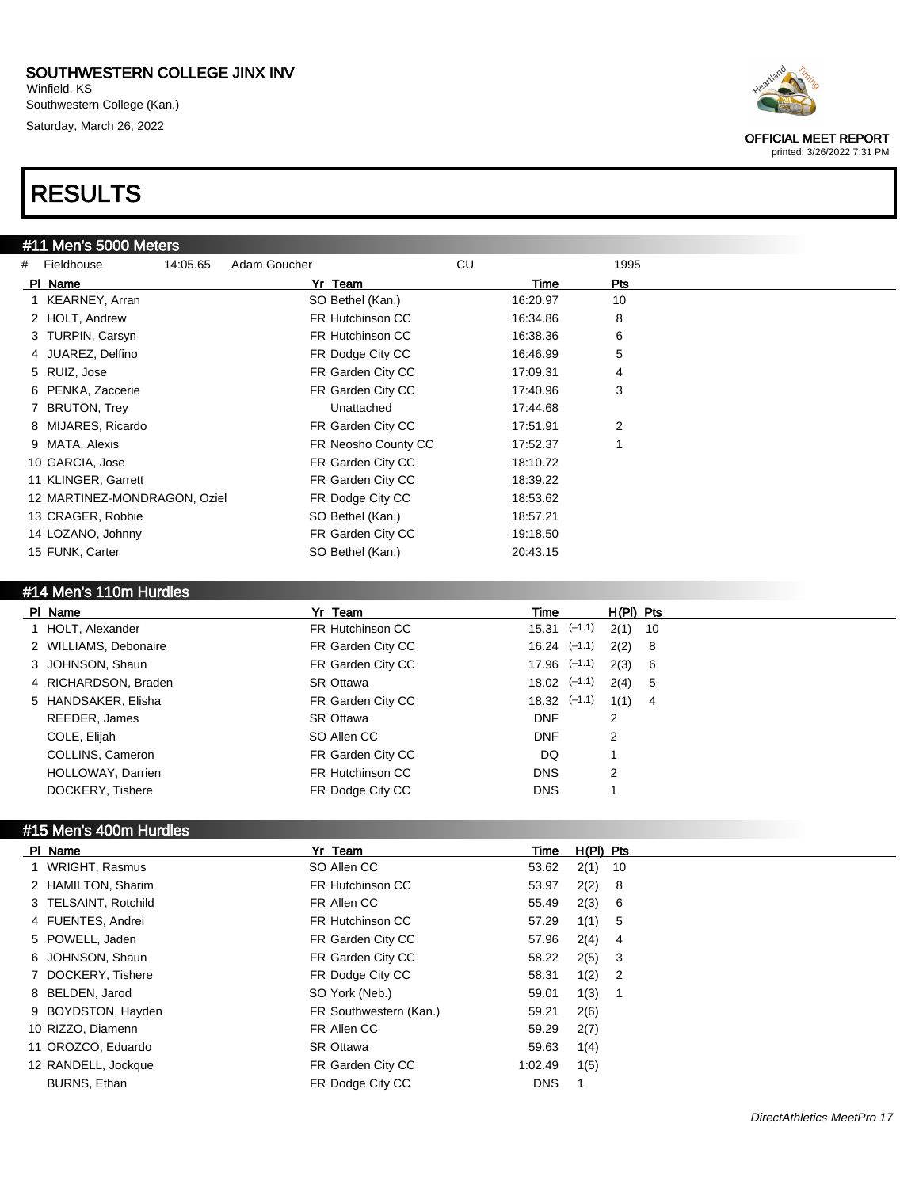Winfield, KS Southwestern College (Kan.) Saturday, March 26, 2022

# RESULTS

#### #11 Men's 5000 Meters

| # Fieldhouse                 | 14:05.65 | Adam Goucher            | CU       | 1995           |
|------------------------------|----------|-------------------------|----------|----------------|
| PI Name                      |          | Yr Team                 | Time     | Pts            |
| 1 KEARNEY, Arran             |          | SO Bethel (Kan.)        | 16:20.97 | 10             |
| 2 HOLT, Andrew               |          | FR Hutchinson CC        | 16:34.86 | 8              |
| 3 TURPIN, Carsyn             |          | <b>FR Hutchinson CC</b> | 16:38.36 | 6              |
| 4 JUAREZ, Delfino            |          | FR Dodge City CC        | 16:46.99 | 5              |
| 5 RUIZ, Jose                 |          | FR Garden City CC       | 17:09.31 | 4              |
| 6 PENKA, Zaccerie            |          | FR Garden City CC       | 17:40.96 | 3              |
| 7 BRUTON, Trey               |          | Unattached              | 17:44.68 |                |
| 8 MIJARES, Ricardo           |          | FR Garden City CC       | 17:51.91 | $\overline{2}$ |
| 9 MATA, Alexis               |          | FR Neosho County CC     | 17:52.37 |                |
| 10 GARCIA, Jose              |          | FR Garden City CC       | 18:10.72 |                |
| 11 KLINGER, Garrett          |          | FR Garden City CC       | 18:39.22 |                |
| 12 MARTINEZ-MONDRAGON, Oziel |          | FR Dodge City CC        | 18:53.62 |                |
| 13 CRAGER, Robbie            |          | SO Bethel (Kan.)        | 18:57.21 |                |
| 14 LOZANO, Johnny            |          | FR Garden City CC       | 19:18.50 |                |
| 15 FUNK, Carter              |          | SO Bethel (Kan.)        | 20:43.15 |                |

#### #14 Men's 110m Hurdles

| PI Name               | Yr Team           | Time             |   |          | $H(PI)$ Pts |
|-----------------------|-------------------|------------------|---|----------|-------------|
| 1 HOLT, Alexander     | FR Hutchinson CC  | $15.31$ $(-1.1)$ |   | 2(1)     | 10          |
| 2 WILLIAMS, Debonaire | FR Garden City CC | $16.24$ $(-1.1)$ |   | $2(2)$ 8 |             |
| 3 JOHNSON, Shaun      | FR Garden City CC | $17.96$ $(-1.1)$ |   | 2(3) 6   |             |
| 4 RICHARDSON, Braden  | <b>SR Ottawa</b>  | $18.02$ $(-1.1)$ |   | 2(4) 5   |             |
| 5 HANDSAKER, Elisha   | FR Garden City CC | $18.32$ $(-1.1)$ |   | $1(1)$ 4 |             |
| REEDER, James         | SR Ottawa         | <b>DNF</b>       | 2 |          |             |
| COLE, Elijah          | SO Allen CC       | <b>DNF</b>       | 2 |          |             |
| COLLINS, Cameron      | FR Garden City CC | DQ.              |   |          |             |
| HOLLOWAY, Darrien     | FR Hutchinson CC  | <b>DNS</b>       | 2 |          |             |
| DOCKERY, Tishere      | FR Dodge City CC  | <b>DNS</b>       |   |          |             |

### #15 Men's 400m Hurdles

| PI Name              | Yr Team                | Time       | $H(PI)$ Pts |                            |
|----------------------|------------------------|------------|-------------|----------------------------|
| 1 WRIGHT, Rasmus     | SO Allen CC            | 53.62      | $2(1)$ 10   |                            |
| 2 HAMILTON, Sharim   | FR Hutchinson CC       | 53.97      | $2(2)$ 8    |                            |
| 3 TELSAINT, Rotchild | FR Allen CC            | 55.49      | 2(3)        | - 6                        |
| 4 FUENTES, Andrei    | FR Hutchinson CC       | 57.29      | $1(1)$ 5    |                            |
| 5 POWELL, Jaden      | FR Garden City CC      | 57.96      | $2(4)$ 4    |                            |
| 6 JOHNSON, Shaun     | FR Garden City CC      | 58.22      | $2(5)$ 3    |                            |
| 7 DOCKERY, Tishere   | FR Dodge City CC       | 58.31      | 1(2)        | $\overline{\phantom{0}}^2$ |
| 8 BELDEN, Jarod      | SO York (Neb.)         | 59.01      | 1(3)        | - 1                        |
| 9 BOYDSTON, Hayden   | FR Southwestern (Kan.) | 59.21      | 2(6)        |                            |
| 10 RIZZO, Diamenn    | FR Allen CC            | 59.29      | 2(7)        |                            |
| 11 OROZCO, Eduardo   | <b>SR Ottawa</b>       | 59.63      | 1(4)        |                            |
| 12 RANDELL, Jockque  | FR Garden City CC      | 1:02.49    | 1(5)        |                            |
| BURNS, Ethan         | FR Dodge City CC       | <b>DNS</b> |             |                            |

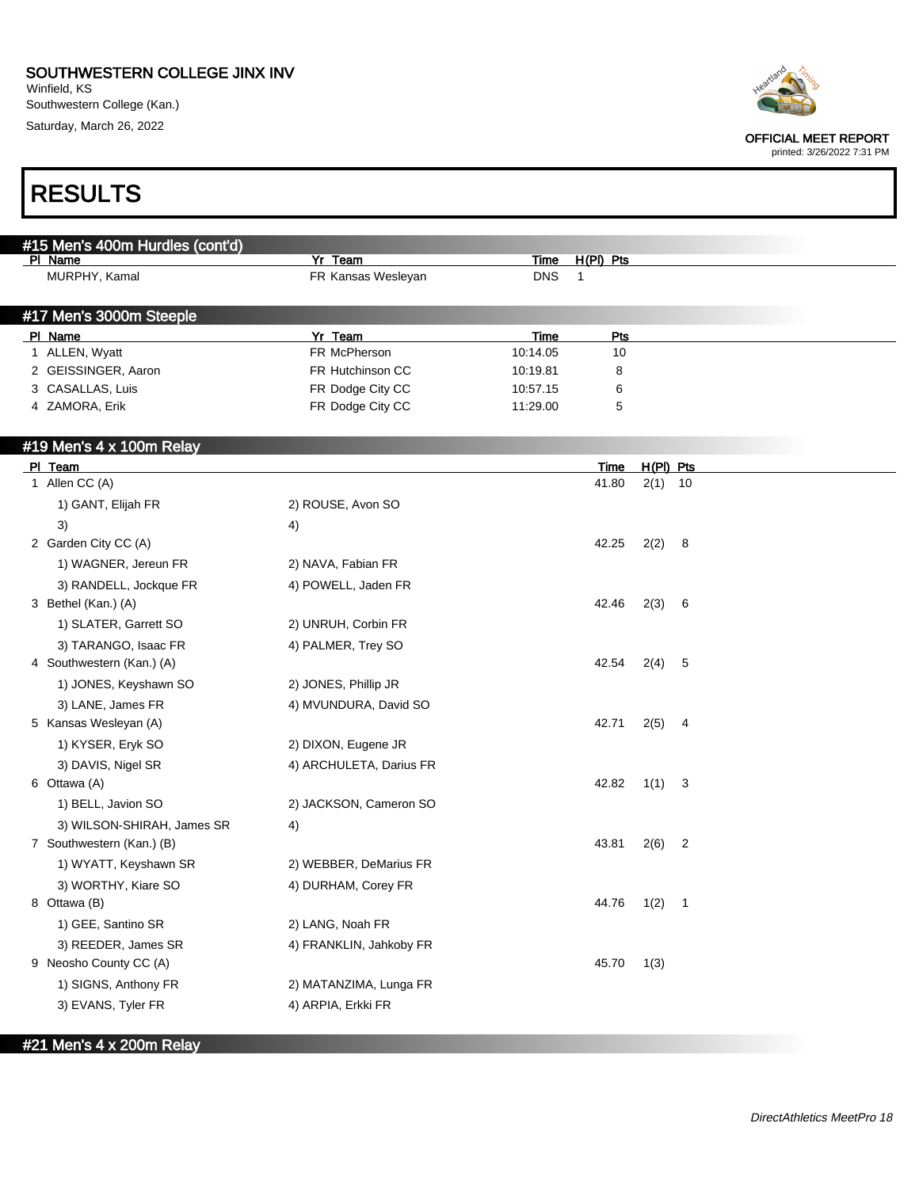Winfield, KS Southwestern College (Kan.) Saturday, March 26, 2022



OFFICIAL MEET REPORT

printed: 3/26/2022 7:31 PM

| <b>RESULTS</b>                                |                                      |                      |              |             |                         |
|-----------------------------------------------|--------------------------------------|----------------------|--------------|-------------|-------------------------|
|                                               |                                      |                      |              |             |                         |
| #15 Men's 400m Hurdles (cont'd)<br>PI Name    | Yr Team                              | <b>Time</b>          | $H(PI)$ Pts  |             |                         |
| MURPHY, Kamal                                 | FR Kansas Wesleyan                   | <b>DNS</b>           | $\mathbf{1}$ |             |                         |
| #17 Men's 3000m Steeple                       |                                      |                      |              |             |                         |
| PI Name                                       | Yr Team                              | Time                 | Pts          |             |                         |
| 1 ALLEN, Wyatt                                | FR McPherson                         | 10:14.05             | 10           |             |                         |
| 2 GEISSINGER, Aaron                           | FR Hutchinson CC                     | 10:19.81             | 8            |             |                         |
| 3 CASALLAS, Luis<br>4 ZAMORA, Erik            | FR Dodge City CC<br>FR Dodge City CC | 10:57.15<br>11:29.00 | 6<br>5       |             |                         |
| #19 Men's 4 x 100m Relay                      |                                      |                      |              |             |                         |
| PI Team                                       |                                      |                      | Time         | $H(PI)$ Pts |                         |
| 1 Allen CC (A)                                |                                      |                      | 41.80        | $2(1)$ 10   |                         |
| 1) GANT, Elijah FR                            | 2) ROUSE, Avon SO                    |                      |              |             |                         |
| 3)                                            | 4)                                   |                      |              |             |                         |
| 2 Garden City CC (A)                          |                                      |                      | 42.25        | 2(2) 8      |                         |
| 1) WAGNER, Jereun FR                          | 2) NAVA, Fabian FR                   |                      |              |             |                         |
| 3) RANDELL, Jockque FR                        | 4) POWELL, Jaden FR                  |                      |              |             |                         |
| 3 Bethel (Kan.) (A)                           |                                      |                      | 42.46        | 2(3)        | 6                       |
| 1) SLATER, Garrett SO                         | 2) UNRUH, Corbin FR                  |                      |              |             |                         |
| 3) TARANGO, Isaac FR                          | 4) PALMER, Trey SO                   |                      |              |             |                         |
| 4 Southwestern (Kan.) (A)                     |                                      |                      | 42.54        | 2(4)        | 5                       |
| 1) JONES, Keyshawn SO                         | 2) JONES, Phillip JR                 |                      |              |             |                         |
| 3) LANE, James FR                             | 4) MVUNDURA, David SO                |                      |              |             |                         |
| 5 Kansas Wesleyan (A)                         |                                      |                      | 42.71        | 2(5)        | 4                       |
| 1) KYSER, Eryk SO                             | 2) DIXON, Eugene JR                  |                      |              |             |                         |
| 3) DAVIS, Nigel SR                            | 4) ARCHULETA, Darius FR              |                      |              |             |                         |
| 6 Ottawa (A)                                  |                                      |                      | 42.82        | 1(1)        | 3                       |
| 1) BELL, Javion SO                            | 2) JACKSON, Cameron SO               |                      |              |             |                         |
| 3) WILSON-SHIRAH, James SR                    | 4)                                   |                      |              |             |                         |
| 7 Southwestern (Kan.) (B)                     |                                      |                      | 43.81 2(6)   |             |                         |
| 1) WYATT, Keyshawn SR                         | 2) WEBBER, DeMarius FR               |                      |              |             |                         |
| 3) WORTHY, Kiare SO                           | 4) DURHAM, Corey FR                  |                      |              |             |                         |
| 8 Ottawa (B)                                  |                                      |                      | 44.76        | 1(2)        | $\overline{\mathbf{1}}$ |
| 1) GEE, Santino SR                            | 2) LANG, Noah FR                     |                      |              |             |                         |
|                                               | 4) FRANKLIN, Jahkoby FR              |                      |              |             |                         |
| 3) REEDER, James SR<br>9 Neosho County CC (A) |                                      |                      | 45.70        | 1(3)        |                         |
| 1) SIGNS, Anthony FR                          | 2) MATANZIMA, Lunga FR               |                      |              |             |                         |
|                                               |                                      |                      |              |             |                         |
| 3) EVANS, Tyler FR                            | 4) ARPIA, Erkki FR                   |                      |              |             |                         |

#21 Men's 4 x 200m Relay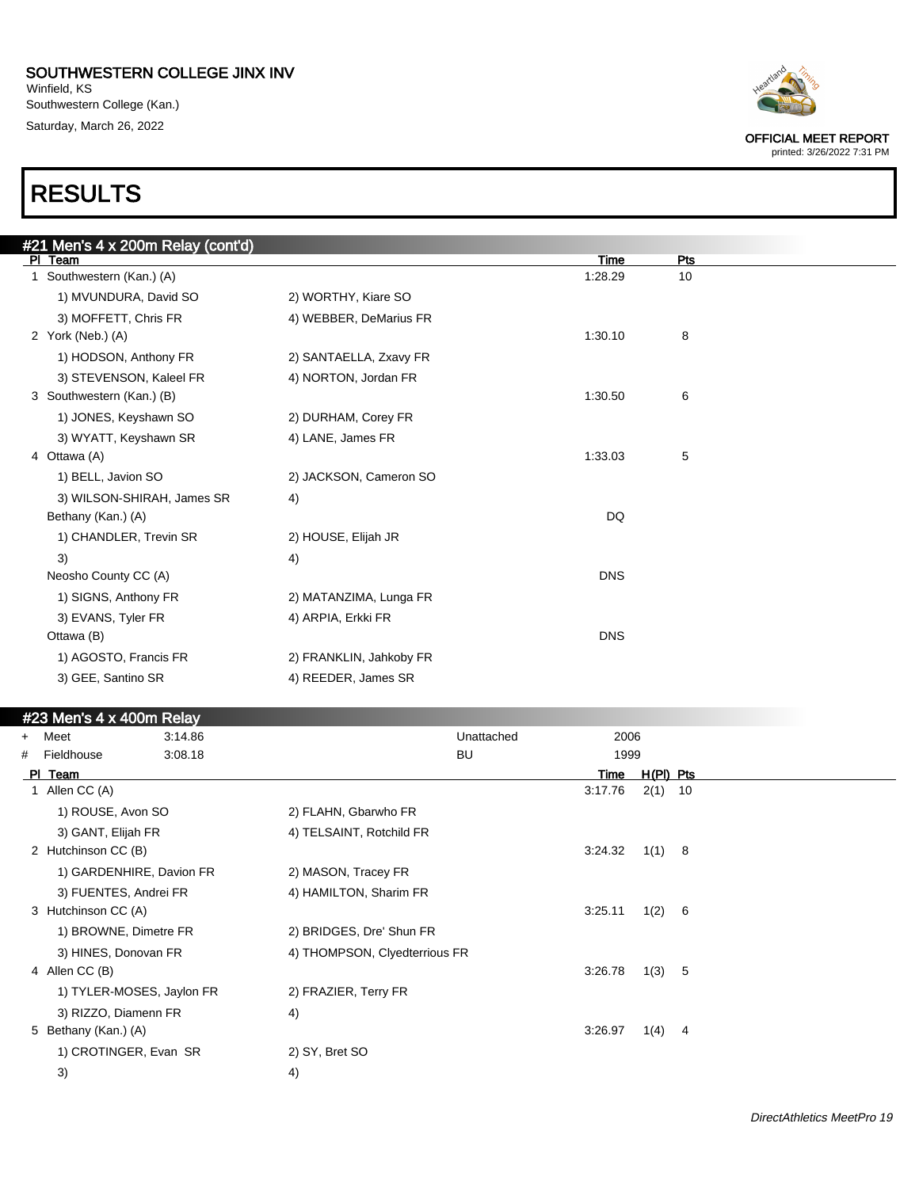Winfield, KS Southwestern College (Kan.) Saturday, March 26, 2022

OFFICIAL MEET REPORT printed: 3/26/2022 7:31 PM

RESULTS

### #21 Men's 4 x 200m Relay (cont'd)<br>|PI\_Team Pl Team Time Pts 1 Southwestern (Kan.) (A) 1:28.29 10 1) MVUNDURA, David SO 2) WORTHY, Kiare SO 3) MOFFETT, Chris FR 4) WEBBER, DeMarius FR 2 York (Neb.) (A) 1:30.10 8 1) HODSON, Anthony FR 2) SANTAELLA, Zxavy FR 3) STEVENSON, Kaleel FR 4) NORTON, Jordan FR 3 Southwestern (Kan.) (B) 1:30.50 6 1) JONES, Keyshawn SO 2) DURHAM, Corey FR 3) WYATT, Keyshawn SR 4) LANE, James FR 4 Ottawa (A) 1:33.03 5 1) BELL, Javion SO 2) JACKSON, Cameron SO 3) WILSON-SHIRAH, James SR 4) Bethany (Kan.) (A) DQ 1) CHANDLER, Trevin SR 2) HOUSE, Elijah JR  $3)$  4) Neosho County CC (A) DNS 1) SIGNS, Anthony FR 2) MATANZIMA, Lunga FR 3) EVANS, Tyler FR 4) ARPIA, Erkki FR Ottawa (B) DNS 1) AGOSTO, Francis FR 2) FRANKLIN, Jahkoby FR 3) GEE, Santino SR 4) REEDER, James SR

|     | #23 Men's 4 x 400m Relay  |         |                               |            |         |             |     |  |
|-----|---------------------------|---------|-------------------------------|------------|---------|-------------|-----|--|
| $+$ | Meet                      | 3:14.86 |                               | Unattached | 2006    |             |     |  |
| #   | Fieldhouse                | 3:08.18 |                               | <b>BU</b>  | 1999    |             |     |  |
|     | PI Team                   |         |                               |            | Time    | $H(PI)$ Pts |     |  |
|     | Allen CC (A)              |         |                               |            | 3:17.76 | $2(1)$ 10   |     |  |
|     | 1) ROUSE, Avon SO         |         | 2) FLAHN, Gbarwho FR          |            |         |             |     |  |
|     | 3) GANT, Elijah FR        |         | 4) TELSAINT, Rotchild FR      |            |         |             |     |  |
|     | 2 Hutchinson CC (B)       |         |                               |            | 3:24.32 | 1(1) 8      |     |  |
|     | 1) GARDENHIRE, Davion FR  |         | 2) MASON, Tracey FR           |            |         |             |     |  |
|     | 3) FUENTES, Andrei FR     |         | 4) HAMILTON, Sharim FR        |            |         |             |     |  |
|     | 3 Hutchinson CC (A)       |         |                               |            | 3:25.11 | 1(2)        | - 6 |  |
|     | 1) BROWNE, Dimetre FR     |         | 2) BRIDGES, Dre' Shun FR      |            |         |             |     |  |
|     | 3) HINES, Donovan FR      |         | 4) THOMPSON, Clyedterrious FR |            |         |             |     |  |
|     | 4 Allen CC (B)            |         |                               |            | 3:26.78 | 1(3)        | 5   |  |
|     | 1) TYLER-MOSES, Jaylon FR |         | 2) FRAZIER, Terry FR          |            |         |             |     |  |
|     | 3) RIZZO, Diamenn FR      |         | 4)                            |            |         |             |     |  |
|     | 5 Bethany (Kan.) (A)      |         |                               |            | 3:26.97 | 1(4)        | 4   |  |
|     | 1) CROTINGER, Evan SR     |         | 2) SY, Bret SO                |            |         |             |     |  |
|     | 3)                        |         | 4)                            |            |         |             |     |  |
|     |                           |         |                               |            |         |             |     |  |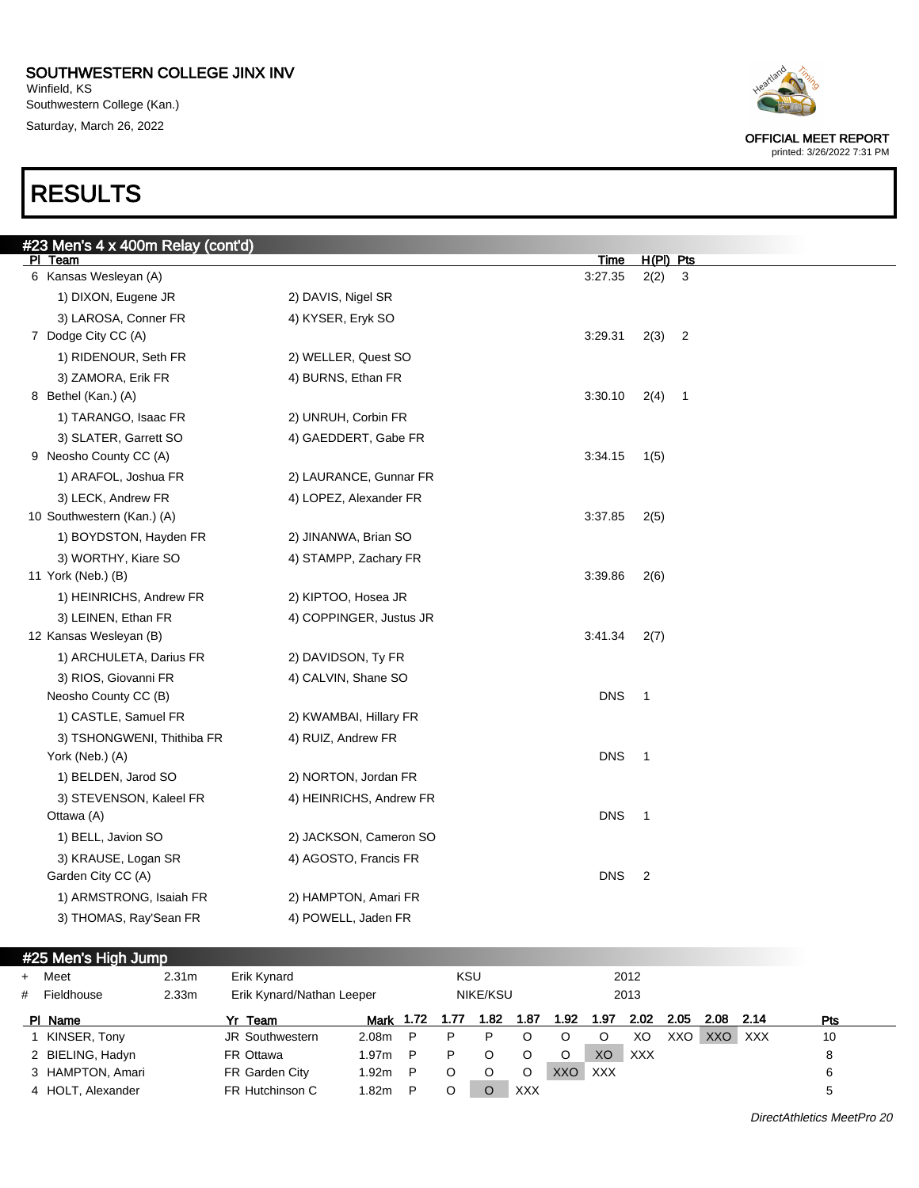Winfield, KS Southwestern College (Kan.) Saturday, March 26, 2022

# RESULTS

| Heartland |
|-----------|
|           |

OFFICIAL MEET REPORT printed: 3/26/2022 7:31 PM

| #23 Men's 4 x 400m Relay (cont'd)<br>PI Team |                         | <u>Time</u> | $H(PI)$ Pts                     |  |
|----------------------------------------------|-------------------------|-------------|---------------------------------|--|
| 6 Kansas Wesleyan (A)                        |                         | 3:27.35     | 2(2)<br>3                       |  |
| 1) DIXON, Eugene JR                          | 2) DAVIS, Nigel SR      |             |                                 |  |
| 3) LAROSA, Conner FR                         | 4) KYSER, Eryk SO       |             |                                 |  |
| 7 Dodge City CC (A)                          |                         | 3:29.31     | 2(3)<br>$\overline{c}$          |  |
| 1) RIDENOUR, Seth FR                         | 2) WELLER, Quest SO     |             |                                 |  |
| 3) ZAMORA, Erik FR                           | 4) BURNS, Ethan FR      |             |                                 |  |
| 8 Bethel (Kan.) (A)                          |                         | 3:30.10     | 2(4)<br>$\overline{\mathbf{1}}$ |  |
| 1) TARANGO, Isaac FR                         | 2) UNRUH, Corbin FR     |             |                                 |  |
| 3) SLATER, Garrett SO                        | 4) GAEDDERT, Gabe FR    |             |                                 |  |
| 9 Neosho County CC (A)                       |                         | 3:34.15     | 1(5)                            |  |
| 1) ARAFOL, Joshua FR                         | 2) LAURANCE, Gunnar FR  |             |                                 |  |
| 3) LECK, Andrew FR                           | 4) LOPEZ, Alexander FR  |             |                                 |  |
| 10 Southwestern (Kan.) (A)                   |                         | 3:37.85     | 2(5)                            |  |
| 1) BOYDSTON, Hayden FR                       | 2) JINANWA, Brian SO    |             |                                 |  |
| 3) WORTHY, Kiare SO                          | 4) STAMPP, Zachary FR   |             |                                 |  |
| 11 York (Neb.) (B)                           |                         | 3:39.86     | 2(6)                            |  |
| 1) HEINRICHS, Andrew FR                      | 2) KIPTOO, Hosea JR     |             |                                 |  |
| 3) LEINEN, Ethan FR                          | 4) COPPINGER, Justus JR |             |                                 |  |
| 12 Kansas Wesleyan (B)                       |                         | 3:41.34     | 2(7)                            |  |
| 1) ARCHULETA, Darius FR                      | 2) DAVIDSON, Ty FR      |             |                                 |  |
| 3) RIOS, Giovanni FR                         | 4) CALVIN, Shane SO     |             |                                 |  |
| Neosho County CC (B)                         |                         | <b>DNS</b>  | $\mathbf 1$                     |  |
| 1) CASTLE, Samuel FR                         | 2) KWAMBAI, Hillary FR  |             |                                 |  |
| 3) TSHONGWENI, Thithiba FR                   | 4) RUIZ, Andrew FR      |             |                                 |  |
| York (Neb.) (A)                              |                         | <b>DNS</b>  | $\mathbf 1$                     |  |
| 1) BELDEN, Jarod SO                          | 2) NORTON, Jordan FR    |             |                                 |  |
| 3) STEVENSON, Kaleel FR                      | 4) HEINRICHS, Andrew FR |             |                                 |  |
| Ottawa (A)                                   |                         | <b>DNS</b>  | $\mathbf 1$                     |  |
| 1) BELL, Javion SO                           | 2) JACKSON, Cameron SO  |             |                                 |  |
| 3) KRAUSE, Logan SR                          | 4) AGOSTO, Francis FR   |             |                                 |  |
| Garden City CC (A)                           |                         | <b>DNS</b>  | $\overline{2}$                  |  |
| 1) ARMSTRONG, Isaiah FR                      | 2) HAMPTON, Amari FR    |             |                                 |  |
| 3) THOMAS, Ray'Sean FR                       | 4) POWELL, Jaden FR     |             |                                 |  |

### #25 Men's High Jump

| $+$ | Meet              | 2.31 <sub>m</sub> | Erik Kynard               |                   |   | <b>KSU</b> |          |            |      |            | 2012       |      |      |      |            |
|-----|-------------------|-------------------|---------------------------|-------------------|---|------------|----------|------------|------|------------|------------|------|------|------|------------|
| #   | Fieldhouse        | 2.33 <sub>m</sub> | Erik Kynard/Nathan Leeper |                   |   |            | NIKE/KSU |            |      |            | 2013       |      |      |      |            |
|     | PI Name           |                   | Yr Team                   | Mark 1.72         |   |            | 1.82     | 1.87       | 1.92 | 1.97       | 2.02       | 2.05 | 2.08 | 2.14 | <b>Pts</b> |
|     | KINSER, Tony      |                   | JR Southwestern           | 2.08m             | P | P          | P        |            | O    |            | XO         | XXO  | XXO  | XXX  | 10         |
|     | 2 BIELING, Hadyn  |                   | FR Ottawa                 | 1.97 <sub>m</sub> | P | P          | O        |            | O    | XO         | <b>XXX</b> |      |      |      | 8          |
|     | 3 HAMPTON, Amari  |                   | FR Garden City            | 1.92m             | P |            |          |            | XXO  | <b>XXX</b> |            |      |      |      | 6          |
|     | 4 HOLT, Alexander |                   | FR Hutchinson C           | 1.82m             | P |            |          | <b>XXX</b> |      |            |            |      |      |      |            |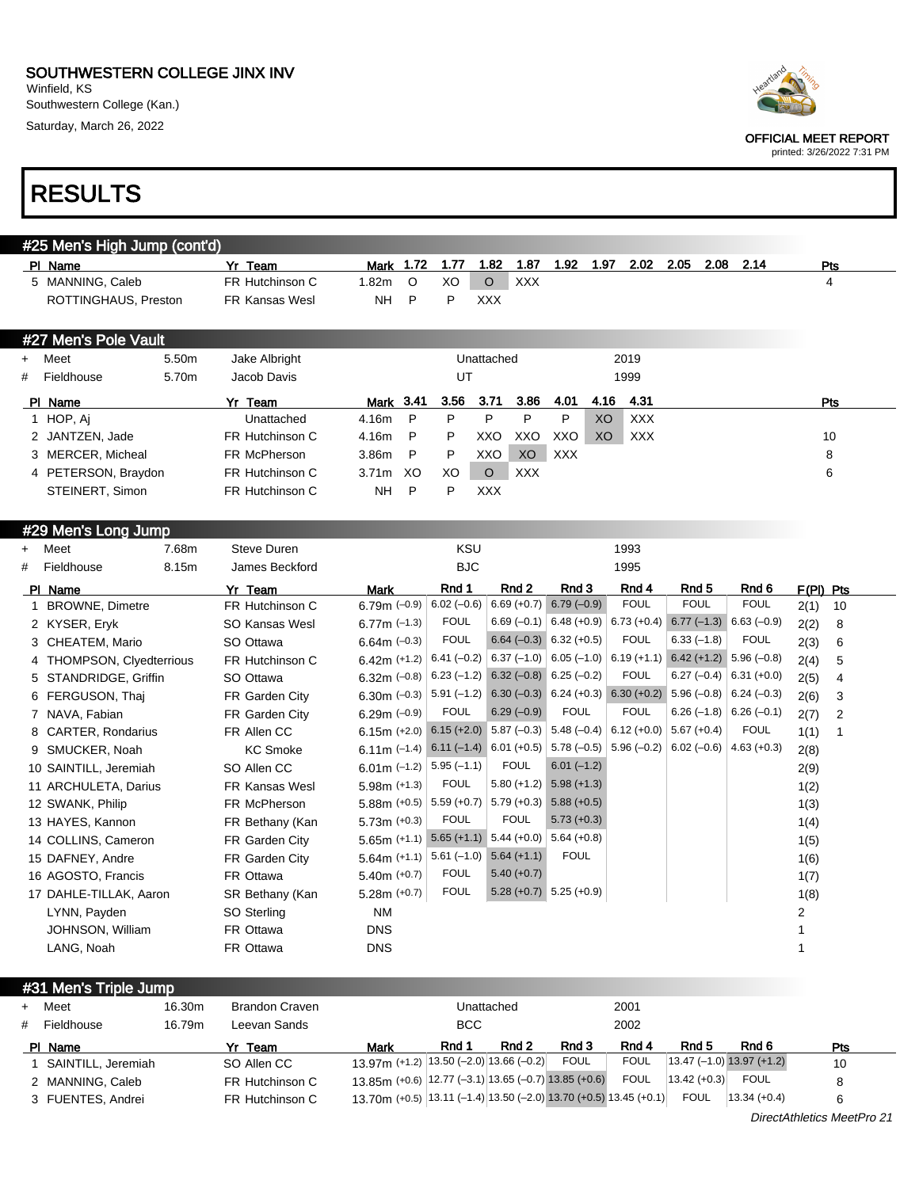Winfield, KS Southwestern College (Kan.) Saturday, March 26, 2022



| Heartland |
|-----------|
|           |
|           |

OFFICIAL MEET REPORT

printed: 3/26/2022 7:31 PM

|   | #25 Men's High Jump (cont'd) |       |                       |                   |         |      |            |            |            |                |            |      |      |      |            |
|---|------------------------------|-------|-----------------------|-------------------|---------|------|------------|------------|------------|----------------|------------|------|------|------|------------|
|   | PI Name                      |       | Yr Team               | Mark              | 1.72    | 1.77 | 1.82       | 1.87       | 1.92       | 1.97           | 2.02       | 2.05 | 2.08 | 2.14 | Pts        |
|   | 5 MANNING, Caleb             |       | FR Hutchinson C       | 1.82m             | $\circ$ | XO   | $\circ$    | <b>XXX</b> |            |                |            |      |      |      | 4          |
|   | ROTTINGHAUS, Preston         |       | <b>FR Kansas Wesl</b> | NΗ                | P       | P    | <b>XXX</b> |            |            |                |            |      |      |      |            |
|   |                              |       |                       |                   |         |      |            |            |            |                |            |      |      |      |            |
|   | #27 Men's Pole Vault         |       |                       |                   |         |      |            |            |            |                |            |      |      |      |            |
|   | + Meet                       | 5.50m | Jake Albright         |                   |         |      | Unattached |            |            |                | 2019       |      |      |      |            |
| # | Fieldhouse                   | 5.70m | Jacob Davis           |                   |         | UT   |            |            |            |                | 1999       |      |      |      |            |
|   | PI Name                      |       | Yr Team               | Mark 3.41         |         | 3.56 | 3.71       | 3.86       | 4.01       | 4.16           | 4.31       |      |      |      | <b>Pts</b> |
|   | 1 HOP, Aj                    |       | Unattached            | 4.16m             | P       | P    | P          | P          | P          | <b>XO</b>      | <b>XXX</b> |      |      |      |            |
|   | 2 JANTZEN, Jade              |       | FR Hutchinson C       | 4.16m             | P       | P    | XXO        | XXO        | XXO        | X <sub>O</sub> | XXX        |      |      |      | 10         |
|   | 3 MERCER, Micheal            |       | FR McPherson          | 3.86m             | P       | P    | XXO        | XO         | <b>XXX</b> |                |            |      |      |      | 8          |
|   | 4 PETERSON, Braydon          |       | FR Hutchinson C       | 3.71 <sub>m</sub> | XO.     | XO   | $\circ$    | <b>XXX</b> |            |                |            |      |      |      | 6          |
|   | STEINERT, Simon              |       | FR Hutchinson C       | <b>NH</b>         | P       | P    | <b>XXX</b> |            |            |                |            |      |      |      |            |

#### #29 Men's Long Jump

| $\ddot{}$ | Meet                      | 7.68m | Steve Duren     |                                                              | <b>KSU</b>    |                           |                                                   | 1993          |                           |               |                |    |
|-----------|---------------------------|-------|-----------------|--------------------------------------------------------------|---------------|---------------------------|---------------------------------------------------|---------------|---------------------------|---------------|----------------|----|
| #         | Fieldhouse                | 8.15m | James Beckford  |                                                              | <b>BJC</b>    |                           |                                                   | 1995          |                           |               |                |    |
|           | PI Name                   |       | Yr Team         | <b>Mark</b>                                                  | Rnd 1         | Rnd 2                     | Rnd 3                                             | Rnd 4         | Rnd 5                     | Rnd 6         | $F(PI)$ Pts    |    |
|           | <b>BROWNE, Dimetre</b>    |       | FR Hutchinson C | 6.79 $m$ (-0.9)                                              | $6.02(-0.6)$  | $6.69 (+0.7)$             | $6.79(-0.9)$                                      | <b>FOUL</b>   | <b>FOUL</b>               | <b>FOUL</b>   | 2(1)           | 10 |
|           | 2 KYSER, Eryk             |       | SO Kansas Wesl  | 6.77m $(-1.3)$                                               | <b>FOUL</b>   |                           | $6.69(-0.1)$ 6.48 (+0.9)                          | $6.73 (+0.4)$ | $6.77$ (-1.3) 6.63 (-0.9) |               | 2(2)           | 8  |
|           | 3 CHEATEM, Mario          |       | SO Ottawa       | $6.64m$ (-0.3)                                               | <b>FOUL</b>   |                           | $6.64 (-0.3) 6.32 (+0.5)$                         | <b>FOUL</b>   | $6.33(-1.8)$              | <b>FOUL</b>   | 2(3)           | 6  |
|           | 4 THOMPSON, Clyedterrious |       | FR Hutchinson C | $6.42m (+1.2)$                                               | $6.41(-0.2)$  |                           | $6.37$ (-1.0) $ 6.05$ (-1.0) $ 6.19$ (+1.1)       |               | $6.42 (+1.2)$ 5.96 (-0.8) |               | 2(4)           | 5  |
|           | 5 STANDRIDGE, Griffin     |       | SO Ottawa       | 6.32m $(-0.8)$                                               | $6.23(-1.2)$  | $6.32 (-0.8) 6.25 (-0.2)$ |                                                   | <b>FOUL</b>   | $6.27 (-0.4)$ 6.31 (+0.0) |               | 2(5)           | 4  |
|           | 6 FERGUSON, Thai          |       | FR Garden City  | 6.30 $m$ (-0.3)                                              |               |                           | $5.91 (-1.2) 6.30 (-0.3) 6.24 (+0.3) 6.30 (+0.2)$ |               | $5.96(-0.8)$ 6.24 (-0.3)  |               | 2(6)           | 3  |
|           | 7 NAVA, Fabian            |       | FR Garden City  | $6.29m (-0.9)$                                               | <b>FOUL</b>   | $6.29(-0.9)$              | <b>FOUL</b>                                       | <b>FOUL</b>   | $6.26(-1.8)$ 6.26 (-0.1)  |               | 2(7)           | 2  |
|           | 8 CARTER, Rondarius       |       | FR Allen CC     | 6.15m (+2.0) 6.15 (+2.0) 5.87 (-0.3) 5.48 (-0.4)             |               |                           |                                                   | $6.12 (+0.0)$ | $5.67 (+0.4)$             | <b>FOUL</b>   | 1(1)           |    |
|           | 9 SMUCKER, Noah           |       | <b>KC Smoke</b> | 6.11m (-1.4) 6.11 (-1.4) 6.01 (+0.5) 5.78 (-0.5) 5.96 (-0.2) |               |                           |                                                   |               | $6.02(-0.6)$              | $4.63 (+0.3)$ | 2(8)           |    |
|           | 10 SAINTILL, Jeremiah     |       | SO Allen CC     | 6.01m $(-1.2)$                                               | $5.95(-1.1)$  | <b>FOUL</b>               | $6.01(-1.2)$                                      |               |                           |               | 2(9)           |    |
|           | 11 ARCHULETA, Darius      |       | FR Kansas Wesl  | $5.98m$ (+1.3)                                               | <b>FOUL</b>   |                           | $5.80 (+1.2) 5.98 (+1.3)$                         |               |                           |               | 1(2)           |    |
|           | 12 SWANK, Philip          |       | FR McPherson    | 5.88m $(+0.5)$                                               | $5.59 (+0.7)$ | $5.79 (+0.3)$             | $5.88(+0.5)$                                      |               |                           |               | 1(3)           |    |
|           | 13 HAYES, Kannon          |       | FR Bethany (Kan | $5.73m (+0.3)$                                               | <b>FOUL</b>   | <b>FOUL</b>               | $5.73 (+0.3)$                                     |               |                           |               | 1(4)           |    |
|           | 14 COLLINS, Cameron       |       | FR Garden City  | 5.65m (+1.1) $5.65$ (+1.1) 5.44 (+0.0)                       |               |                           | $5.64 (+0.8)$                                     |               |                           |               | 1(5)           |    |
|           | 15 DAFNEY, Andre          |       | FR Garden City  | $5.64m (+1.1)$                                               | $5.61(-1.0)$  | $5.64 (+1.1)$             | <b>FOUL</b>                                       |               |                           |               | 1(6)           |    |
|           | 16 AGOSTO, Francis        |       | FR Ottawa       | $5.40m (+0.7)$                                               | <b>FOUL</b>   | $5.40(+0.7)$              |                                                   |               |                           |               | 1(7)           |    |
|           | 17 DAHLE-TILLAK, Aaron    |       | SR Bethany (Kan | $5.28m (+0.7)$                                               | <b>FOUL</b>   |                           | $5.28 (+0.7)$ $5.25 (+0.9)$                       |               |                           |               | 1(8)           |    |
|           | LYNN, Payden              |       | SO Sterling     | <b>NM</b>                                                    |               |                           |                                                   |               |                           |               | $\overline{2}$ |    |
|           | JOHNSON, William          |       | FR Ottawa       | <b>DNS</b>                                                   |               |                           |                                                   |               |                           |               |                |    |
|           | LANG, Noah                |       | FR Ottawa       | <b>DNS</b>                                                   |               |                           |                                                   |               |                           |               |                |    |

#31 Men's Triple Jump

|   | + Meet             | 16.30m | <b>Brandon Craven</b> |                                                                      |            | Unattached |             | 2001        |                  |                             |     |
|---|--------------------|--------|-----------------------|----------------------------------------------------------------------|------------|------------|-------------|-------------|------------------|-----------------------------|-----|
| # | Fieldhouse         | 16.79m | Leevan Sands          |                                                                      | <b>BCC</b> |            |             | 2002        |                  |                             |     |
|   | PI Name            |        | Yr Team               | <b>Mark</b>                                                          | Rnd 1      | Rnd 2      | Rnd 3       | Rnd 4       | Rnd 5            | Rnd 6                       | Pts |
|   | SAINTILL, Jeremiah |        | SO Allen CC           | 13.97m (+1.2) $ 13.50$ (-2.0) 13.66 (-0.2)                           |            |            | <b>FOUL</b> | <b>FOUL</b> |                  | $13.47$ (-1.0) 13.97 (+1.2) | 10  |
|   | 2 MANNING, Caleb   |        | FR Hutchinson C       | $13.85$ m (+0.6) $ 12.77$ (-3.1) 13.65 (-0.7) 13.85 (+0.6)           |            |            |             | <b>FOUL</b> | $ 13.42 (+0.3) $ | <b>FOUL</b>                 | 8   |
|   | 3 FUENTES, Andrei  |        | FR Hutchinson C       | 13.70m (+0.5) $ 13.11$ (-1.4) 13.50 (-2.0) 13.70 (+0.5) 13.45 (+0.1) |            |            |             |             | FOUL             | $ 13.34 + 0.4 $             | 6   |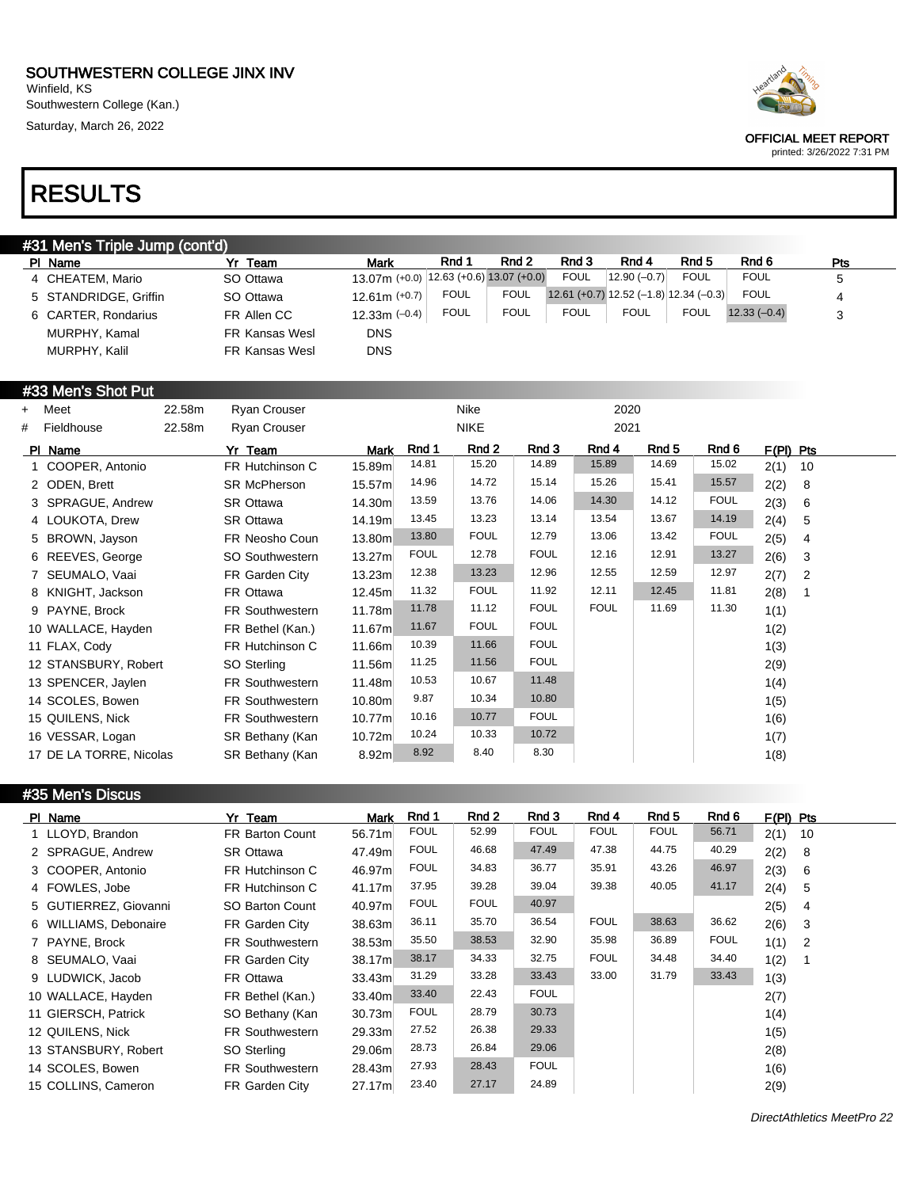Winfield, KS Southwestern College (Kan.) Saturday, March 26, 2022



OFFICIAL MEET REPORT

printed: 3/26/2022 7:31 PM

# RESULTS

| <b>#31 Men's Triple Jump (cont'd)</b> |                       |                |                                            |             |             |             |                                          |             |               |     |  |
|---------------------------------------|-----------------------|----------------|--------------------------------------------|-------------|-------------|-------------|------------------------------------------|-------------|---------------|-----|--|
|                                       | PI Name               | Yr Team        | <b>Mark</b>                                | Rnd 1       | Rnd 2       | Rnd 3       | Rnd 4                                    | Rnd 5       | Rnd 6         | Pts |  |
|                                       | 4 CHEATEM, Mario      | SO Ottawa      | $13.07$ m (+0.0) 12.63 (+0.6) 13.07 (+0.0) |             |             | <b>FOUL</b> | $12.90(-0.7)$                            | <b>FOUL</b> | <b>FOUL</b>   | 5   |  |
|                                       | 5 STANDRIDGE, Griffin | SO Ottawa      | $12.61m (+0.7)$                            | <b>FOUL</b> | <b>FOUL</b> |             | $12.61 (+0.7) 12.52 (-1.8) 12.34 (-0.3)$ |             | <b>FOUL</b>   | 4   |  |
|                                       | 6 CARTER, Rondarius   | FR Allen CC    | $12.33m (-0.4)$                            | <b>FOUL</b> | <b>FOUL</b> | <b>FOUL</b> | <b>FOUL</b>                              | <b>FOUL</b> | $12.33(-0.4)$ | 3   |  |
|                                       | MURPHY, Kamal         | FR Kansas Wesl | <b>DNS</b>                                 |             |             |             |                                          |             |               |     |  |
|                                       | MURPHY, Kalil         | FR Kansas Wesl | <b>DNS</b>                                 |             |             |             |                                          |             |               |     |  |

### #33 Men's Shot Put

| $+$ | Meet                    | 22.58m | <b>Ryan Crouser</b>    |        |             | Nike        |             | 2020        |       |             |                        |
|-----|-------------------------|--------|------------------------|--------|-------------|-------------|-------------|-------------|-------|-------------|------------------------|
| #   | Fieldhouse              | 22.58m | <b>Ryan Crouser</b>    |        |             | <b>NIKE</b> |             | 2021        |       |             |                        |
|     | PI Name                 |        | Yr Team                | Mark   | Rnd 1       | Rnd 2       | Rnd 3       | Rnd 4       | Rnd 5 | Rnd 6       | F(PI) Pts              |
|     | 1 COOPER, Antonio       |        | FR Hutchinson C        | 15.89m | 14.81       | 15.20       | 14.89       | 15.89       | 14.69 | 15.02       | 2(1)<br>10             |
|     | 2 ODEN, Brett           |        | <b>SR McPherson</b>    | 15.57m | 14.96       | 14.72       | 15.14       | 15.26       | 15.41 | 15.57       | 2(2)<br>8              |
|     | 3 SPRAGUE, Andrew       |        | SR Ottawa              | 14.30m | 13.59       | 13.76       | 14.06       | 14.30       | 14.12 | <b>FOUL</b> | 2(3)<br>6              |
|     | 4 LOUKOTA, Drew         |        | SR Ottawa              | 14.19m | 13.45       | 13.23       | 13.14       | 13.54       | 13.67 | 14.19       | 2(4)<br>5              |
|     | 5 BROWN, Jayson         |        | FR Neosho Coun         | 13.80m | 13.80       | <b>FOUL</b> | 12.79       | 13.06       | 13.42 | <b>FOUL</b> | 2(5)<br>4              |
|     | 6 REEVES, George        |        | SO Southwestern        | 13.27m | <b>FOUL</b> | 12.78       | <b>FOUL</b> | 12.16       | 12.91 | 13.27       | 2(6)<br>3              |
|     | 7 SEUMALO, Vaai         |        | FR Garden City         | 13.23m | 12.38       | 13.23       | 12.96       | 12.55       | 12.59 | 12.97       | 2(7)<br>$\overline{2}$ |
|     | 8 KNIGHT, Jackson       |        | FR Ottawa              | 12.45m | 11.32       | <b>FOUL</b> | 11.92       | 12.11       | 12.45 | 11.81       | 2(8)                   |
|     | 9 PAYNE, Brock          |        | <b>FR Southwestern</b> | 11.78m | 11.78       | 11.12       | <b>FOUL</b> | <b>FOUL</b> | 11.69 | 11.30       | 1(1)                   |
|     | 10 WALLACE, Hayden      |        | FR Bethel (Kan.)       | 11.67m | 11.67       | <b>FOUL</b> | <b>FOUL</b> |             |       |             | 1(2)                   |
|     | 11 FLAX, Cody           |        | FR Hutchinson C        | 11.66m | 10.39       | 11.66       | <b>FOUL</b> |             |       |             | 1(3)                   |
|     | 12 STANSBURY, Robert    |        | SO Sterling            | 11.56m | 11.25       | 11.56       | <b>FOUL</b> |             |       |             | 2(9)                   |
|     | 13 SPENCER, Jaylen      |        | <b>FR Southwestern</b> | 11.48m | 10.53       | 10.67       | 11.48       |             |       |             | 1(4)                   |
|     | 14 SCOLES, Bowen        |        | FR Southwestern        | 10.80m | 9.87        | 10.34       | 10.80       |             |       |             | 1(5)                   |
|     | 15 QUILENS, Nick        |        | <b>FR Southwestern</b> | 10.77m | 10.16       | 10.77       | <b>FOUL</b> |             |       |             | 1(6)                   |
|     | 16 VESSAR, Logan        |        | SR Bethany (Kan        | 10.72m | 10.24       | 10.33       | 10.72       |             |       |             | 1(7)                   |
|     | 17 DE LA TORRE, Nicolas |        | SR Bethany (Kan        | 8.92m  | 8.92        | 8.40        | 8.30        |             |       |             | 1(8)                   |

#### #35 Men's Discus

| PI Name               | Yr Team                | Mark   | Rnd 1       | Rnd 2       | Rnd 3       | Rnd 4       | Rnd 5       | Rnd 6       | $F(PI)$ Pts            |
|-----------------------|------------------------|--------|-------------|-------------|-------------|-------------|-------------|-------------|------------------------|
| 1 LLOYD, Brandon      | <b>FR Barton Count</b> | 56.71m | <b>FOUL</b> | 52.99       | <b>FOUL</b> | <b>FOUL</b> | <b>FOUL</b> | 56.71       | 2(1)<br>10             |
| 2 SPRAGUE, Andrew     | <b>SR Ottawa</b>       | 47.49m | <b>FOUL</b> | 46.68       | 47.49       | 47.38       | 44.75       | 40.29       | 2(2)<br>8              |
| 3 COOPER, Antonio     | FR Hutchinson C        | 46.97m | <b>FOUL</b> | 34.83       | 36.77       | 35.91       | 43.26       | 46.97       | 2(3)<br>6              |
| 4 FOWLES, Jobe        | FR Hutchinson C        | 41.17m | 37.95       | 39.28       | 39.04       | 39.38       | 40.05       | 41.17       | 2(4)<br>5              |
| 5 GUTIERREZ, Giovanni | SO Barton Count        | 40.97m | <b>FOUL</b> | <b>FOUL</b> | 40.97       |             |             |             | 2(5)<br>-4             |
| 6 WILLIAMS, Debonaire | FR Garden City         | 38.63m | 36.11       | 35.70       | 36.54       | <b>FOUL</b> | 38.63       | 36.62       | 2(6)<br>3              |
| 7 PAYNE, Brock        | <b>FR Southwestern</b> | 38.53m | 35.50       | 38.53       | 32.90       | 35.98       | 36.89       | <b>FOUL</b> | 1(1)<br>$\overline{2}$ |
| 8 SEUMALO, Vaai       | FR Garden City         | 38.17m | 38.17       | 34.33       | 32.75       | <b>FOUL</b> | 34.48       | 34.40       | 1(2)                   |
| 9 LUDWICK, Jacob      | FR Ottawa              | 33.43m | 31.29       | 33.28       | 33.43       | 33.00       | 31.79       | 33.43       | 1(3)                   |
| 10 WALLACE, Hayden    | FR Bethel (Kan.)       | 33.40m | 33.40       | 22.43       | <b>FOUL</b> |             |             |             | 2(7)                   |
| 11 GIERSCH, Patrick   | SO Bethany (Kan        | 30.73m | <b>FOUL</b> | 28.79       | 30.73       |             |             |             | 1(4)                   |
| 12 QUILENS, Nick      | FR Southwestern        | 29.33m | 27.52       | 26.38       | 29.33       |             |             |             | 1(5)                   |
| 13 STANSBURY, Robert  | SO Sterling            | 29.06m | 28.73       | 26.84       | 29.06       |             |             |             | 2(8)                   |
| 14 SCOLES, Bowen      | <b>FR Southwestern</b> | 28.43m | 27.93       | 28.43       | <b>FOUL</b> |             |             |             | 1(6)                   |
| 15 COLLINS, Cameron   | FR Garden City         | 27.17m | 23.40       | 27.17       | 24.89       |             |             |             | 2(9)                   |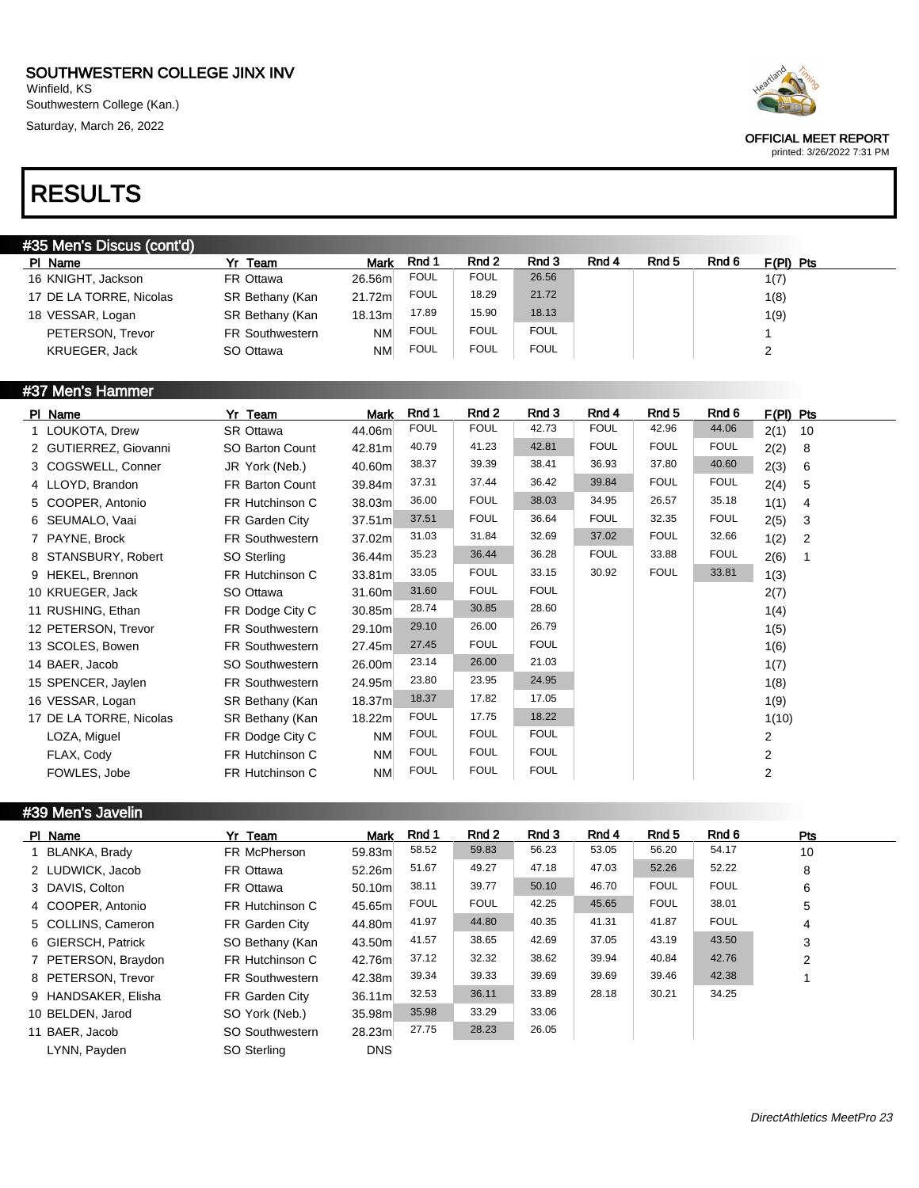Winfield, KS Southwestern College (Kan.) Saturday, March 26, 2022



OFFICIAL MEET REPORT printed: 3/26/2022 7:31 PM

# RESULTS

| #35 Men's Discus (cont'd) |                        |             |             |             |             |       |       |       |             |  |
|---------------------------|------------------------|-------------|-------------|-------------|-------------|-------|-------|-------|-------------|--|
| PI Name                   | Yr<br>Team             | <b>Mark</b> | Rnd 1       | Rnd 2       | Rnd 3       | Rnd 4 | Rnd 5 | Rnd 6 | $F(PI)$ Pts |  |
| 16 KNIGHT, Jackson        | FR Ottawa              | 26.56m      | <b>FOUL</b> | <b>FOUL</b> | 26.56       |       |       |       | 1(7)        |  |
| 17 DE LA TORRE, Nicolas   | SR Bethany (Kan        | 21.72m      | <b>FOUL</b> | 18.29       | 21.72       |       |       |       | 1(8)        |  |
| 18 VESSAR, Logan          | SR Bethany (Kan        | 18.13m      | 17.89       | 15.90       | 18.13       |       |       |       | 1(9)        |  |
| PETERSON, Trevor          | <b>FR Southwestern</b> | NM          | <b>FOUL</b> | <b>FOUL</b> | <b>FOUL</b> |       |       |       |             |  |
| KRUEGER, Jack             | SO Ottawa              | NM          | <b>FOUL</b> | <b>FOUL</b> | <b>FOUL</b> |       |       |       |             |  |
|                           |                        |             |             |             |             |       |       |       |             |  |

### #37 Men's Hammer

| PI Name                 | Yr Team                | Mark      | Rnd 1       | Rnd 2       | Rnd 3       | Rnd 4       | Rnd 5       | Rnd 6       | F(PI) Pts  |
|-------------------------|------------------------|-----------|-------------|-------------|-------------|-------------|-------------|-------------|------------|
| 1 LOUKOTA, Drew         | SR Ottawa              | 44.06m    | <b>FOUL</b> | <b>FOUL</b> | 42.73       | <b>FOUL</b> | 42.96       | 44.06       | 2(1)<br>10 |
| 2 GUTIERREZ, Giovanni   | SO Barton Count        | 42.81m    | 40.79       | 41.23       | 42.81       | <b>FOUL</b> | <b>FOUL</b> | <b>FOUL</b> | 2(2)<br>8  |
| 3 COGSWELL, Conner      | JR York (Neb.)         | 40.60m    | 38.37       | 39.39       | 38.41       | 36.93       | 37.80       | 40.60       | 2(3)<br>6  |
| 4 LLOYD, Brandon        | <b>FR Barton Count</b> | 39.84m    | 37.31       | 37.44       | 36.42       | 39.84       | <b>FOUL</b> | <b>FOUL</b> | 2(4)<br>5  |
| 5 COOPER, Antonio       | FR Hutchinson C        | 38.03m    | 36.00       | <b>FOUL</b> | 38.03       | 34.95       | 26.57       | 35.18       | 1(1)<br>4  |
| 6 SEUMALO, Vaai         | FR Garden City         | 37.51m    | 37.51       | <b>FOUL</b> | 36.64       | <b>FOUL</b> | 32.35       | <b>FOUL</b> | 2(5)<br>3  |
| 7 PAYNE, Brock          | <b>FR Southwestern</b> | 37.02m    | 31.03       | 31.84       | 32.69       | 37.02       | <b>FOUL</b> | 32.66       | 1(2)<br>2  |
| 8 STANSBURY, Robert     | SO Sterling            | 36.44m    | 35.23       | 36.44       | 36.28       | <b>FOUL</b> | 33.88       | <b>FOUL</b> | 2(6)       |
| 9 HEKEL, Brennon        | FR Hutchinson C        | 33.81m    | 33.05       | <b>FOUL</b> | 33.15       | 30.92       | <b>FOUL</b> | 33.81       | 1(3)       |
| 10 KRUEGER, Jack        | SO Ottawa              | 31.60m    | 31.60       | <b>FOUL</b> | <b>FOUL</b> |             |             |             | 2(7)       |
| 11 RUSHING, Ethan       | FR Dodge City C        | 30.85m    | 28.74       | 30.85       | 28.60       |             |             |             | 1(4)       |
| 12 PETERSON, Trevor     | <b>FR Southwestern</b> | 29.10m    | 29.10       | 26.00       | 26.79       |             |             |             | 1(5)       |
| 13 SCOLES, Bowen        | <b>FR Southwestern</b> | 27.45m    | 27.45       | <b>FOUL</b> | <b>FOUL</b> |             |             |             | 1(6)       |
| 14 BAER, Jacob          | SO Southwestern        | 26.00m    | 23.14       | 26.00       | 21.03       |             |             |             | 1(7)       |
| 15 SPENCER, Jaylen      | <b>FR Southwestern</b> | 24.95m    | 23.80       | 23.95       | 24.95       |             |             |             | 1(8)       |
| 16 VESSAR, Logan        | SR Bethany (Kan        | 18.37m    | 18.37       | 17.82       | 17.05       |             |             |             | 1(9)       |
| 17 DE LA TORRE, Nicolas | SR Bethany (Kan        | 18.22m    | <b>FOUL</b> | 17.75       | 18.22       |             |             |             | 1(10)      |
| LOZA, Miguel            | FR Dodge City C        | NM        | <b>FOUL</b> | <b>FOUL</b> | <b>FOUL</b> |             |             |             | 2          |
| FLAX, Cody              | FR Hutchinson C        | <b>NM</b> | <b>FOUL</b> | <b>FOUL</b> | <b>FOUL</b> |             |             |             | 2          |
| FOWLES, Jobe            | FR Hutchinson C        | <b>NM</b> | <b>FOUL</b> | <b>FOUL</b> | <b>FOUL</b> |             |             |             | 2          |

#### #39 Men's Javelin

| PI Name             | Yr Team                | <b>Mark</b> | Rnd 1       | Rnd 2       | Rnd 3 | Rnd 4 | Rnd 5       | Rnd 6       | <b>Pts</b>     |
|---------------------|------------------------|-------------|-------------|-------------|-------|-------|-------------|-------------|----------------|
| 1 BLANKA, Brady     | FR McPherson           | 59.83m      | 58.52       | 59.83       | 56.23 | 53.05 | 56.20       | 54.17       | 10             |
| 2 LUDWICK, Jacob    | FR Ottawa              | 52.26m      | 51.67       | 49.27       | 47.18 | 47.03 | 52.26       | 52.22       | 8              |
| 3 DAVIS, Colton     | FR Ottawa              | 50.10ml     | 38.11       | 39.77       | 50.10 | 46.70 | <b>FOUL</b> | <b>FOUL</b> | 6              |
| 4 COOPER, Antonio   | FR Hutchinson C        | 45.65m      | <b>FOUL</b> | <b>FOUL</b> | 42.25 | 45.65 | <b>FOUL</b> | 38.01       | 5              |
| 5 COLLINS, Cameron  | FR Garden City         | 44.80m      | 41.97       | 44.80       | 40.35 | 41.31 | 41.87       | <b>FOUL</b> | 4              |
| 6 GIERSCH, Patrick  | SO Bethany (Kan        | 43.50m      | 41.57       | 38.65       | 42.69 | 37.05 | 43.19       | 43.50       | 3              |
| 7 PETERSON, Braydon | FR Hutchinson C        | 42.76m      | 37.12       | 32.32       | 38.62 | 39.94 | 40.84       | 42.76       | $\overline{2}$ |
| 8 PETERSON, Trevor  | <b>FR Southwestern</b> | 42.38m      | 39.34       | 39.33       | 39.69 | 39.69 | 39.46       | 42.38       |                |
| 9 HANDSAKER, Elisha | FR Garden City         | 36.11m      | 32.53       | 36.11       | 33.89 | 28.18 | 30.21       | 34.25       |                |
| 10 BELDEN, Jarod    | SO York (Neb.)         | 35.98m      | 35.98       | 33.29       | 33.06 |       |             |             |                |
| 11 BAER, Jacob      | SO Southwestern        | 28.23m      | 27.75       | 28.23       | 26.05 |       |             |             |                |
| LYNN, Payden        | SO Sterling            | <b>DNS</b>  |             |             |       |       |             |             |                |